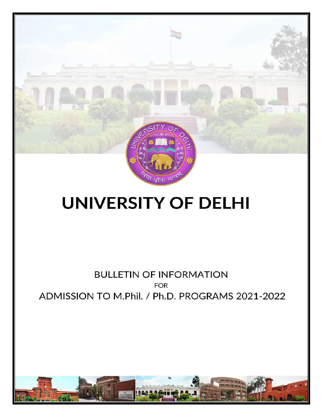

# **UNIVERSITY OF DELHI**

# **BULLETIN OF INFORMATION** FOR<br>ADMISSION TO M.Phil. / Ph.D. PROGRAMS 2021-2022

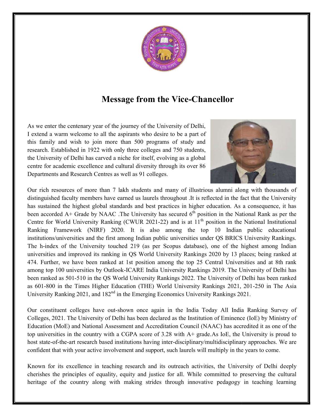

# Message from the Vice-Chancellor

As we enter the centenary year of the journey of the University of Delhi, I extend a warm welcome to all the aspirants who desire to be a part of I extend a warm welcome to all the aspirants who desire to be a part of this family and wish to join more than 500 programs of study and research. Established in 1922 with only three colleges and 750 students, the University of Delhi has carved a niche for itself, evolving as a global centre for academic excellence and cultural diversity through its over 86 Departments and Research Centres as well as 91 colleges. research. Established in 1922 with only three colleges and 750 students,<br>the University of Delhi has carved a niche for itself, evolving as a global<br>centre for academic excellence and cultural diversity through its over 86



distinguished faculty members have earned us laurels throughout .It is reflected in the fact that the University has sustained the highest global standards and best practices in higher education. As a consequence, it has distinguished faculty members have earned us laurels throughout .It is reflected in the fact that the University has sustained the highest global standards and best practices in higher education. As a consequence, it has b Centre for World University Ranking (CWUR 2021-22) and is at  $11<sup>th</sup>$  position in the National Institutional Ranking Framework (NIRF) 2020. It is also among the top 10 Indian public educational institutions/universities and the first among Indian public universities under QS BRICS University Rankings. Ranking Framework (NIRF) 2020. It is also among the top 10 Indian public educational institutions/universities and the first among Indian public universities under QS BRICS University Rankings. The h-index of the Universit universities and improved its ranking in QS World University Rankings 2020 by 13 places; being ranked at 474. Further, we have been ranked at 1st position among the top 25 Central Universities and at 8th rank 474. Further, we have been ranked at 1st position among the top 25 Central Universities and at 8th rank<br>among top 100 universities by Outlook-ICARE India University Rankings 2019. The University of Delhi has been ranked as 501-510 in the QS World University Rankings 2022. The University of Delhi has been ranked as 601-800 in the Times Higher Education (THE) World University Rankings 2021, 201 been ranked as 501-510 in the QS World University Rankings 2022. The University of Delh<br>as 601-800 in the Times Higher Education (THE) World University Rankings 2021, 201<br>University Ranking 2021, and 182<sup>nd</sup> in the Emergin resources of more than 7 lakh students and many of illustrious alumni along with thousands of<br>hed faculty members have carned as laurels throughout 4.1 is reflected in the fact that the University<br>for the definite function Grade by NAAC .The University has secured  $6^{\text{th}}$  position in the National Rank as per the inversity Ranking (CWUR 2021-22) and is at  $11^{\text{th}}$  position in the National Institutional rk (NIRF) 2020. It is also among th

Our constituent colleges have out-shown once again in the India Today All India Ranking Survey of Our constituent colleges have out-shown once again in the India Today All India Ranking Survey of<br>Colleges, 2021. The University of Delhi has been declared as the Institution of Eminence (IoE) by Ministry of Education (MoE) and National Assessment and Accreditation Council (NAAC) has accredited it as one of the Education (MoE) and National Assessment and Accreditation Council (NAAC) has accredited it as one of the<br>top universities in the country with a CGPA score of 3.28 with A+ grade.As IoE, the University is proud to host state-of-the-art research based institutions having inter-disciplinary/multidisciplinary approaches. confident that with your active involvement and support, such laurels will multiply in the years to come. th  $A$ + grade. As IoE, the University is proud to sciplinary/multidisciplinary approaches. We are

Known for its excellence in teaching research and its outreach activities, the University of Delhi d deeply cherishes the principles of equality, equity and justice for all. While committed to preserving the cultural heritage of the country along with making strides through innovative pedagogy in teaching learning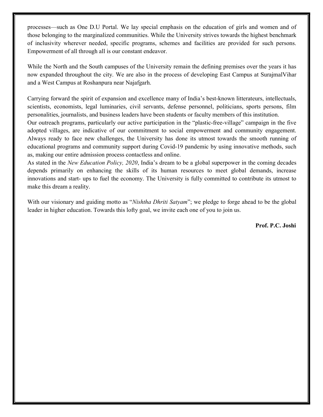processes—such as One D.U Portal. We lay special emphasis on the education of girls and women and of those belonging to the marginalized communities. While the University strives towards the highest benchmark of inclusivity wherever needed, specific programs, schemes and facilities are provided for such persons. Empowerment of all through all is our constant endeavor.

While the North and the South campuses of the University remain the defining premises over the years it has now expanded throughout the city. We are also in the process of developing East Campus at SurajmalVihar and a West Campus at Roshanpura near Najafgarh.

Carrying forward the spirit of expansion and excellence many of India's best-known litterateurs, intellectuals, scientists, economists, legal luminaries, civil servants, defense personnel, politicians, sports persons, film personalities, journalists, and business leaders have been students or faculty members of this institution.

Our outreach programs, particularly our active participation in the "plastic-free-village" campaign in the five adopted villages, are indicative of our commitment to social empowerment and community engagement. Always ready to face new challenges, the University has done its utmost towards the smooth running of educational programs and community support during Covid-19 pandemic by using innovative methods, such as, making our entire admission process contactless and online.

As stated in the New Education Policy, 2020, India's dream to be a global superpower in the coming decades depends primarily on enhancing the skills of its human resources to meet global demands, increase innovations and start- ups to fuel the economy. The University is fully committed to contribute its utmost to make this dream a reality.

With our visionary and guiding motto as "Nishtha Dhriti Satyam"; we pledge to forge ahead to be the global leader in higher education. Towards this lofty goal, we invite each one of you to join us.

Prof. P.C. Joshi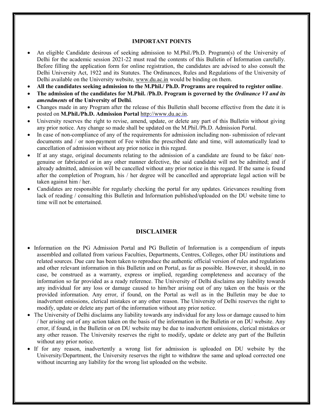#### IMPORTANT POINTS

- An eligible Candidate desirous of seeking admission to M.Phil./Ph.D. Program(s) of the University of Delhi for the academic session 2021-22 must read the contents of this Bulletin of Information carefully. Before filling the application form for online registration, the candidates are advised to also consult the Delhi University Act, 1922 and its Statutes. The Ordinances, Rules and Regulations of the University of Delhi available on the University website, www.du.ac.in would be binding on them.
- All the candidates seeking admission to the M.Phil./ Ph.D. Programs are required to register online.
- The admission of the candidates for M.Phil. /Ph.D. Program is governed by the *Ordinance VI and its* amendments of the University of Delhi.
- Changes made in any Program after the release of this Bulletin shall become effective from the date it is posted on M.Phil./Ph.D. Admission Portal http://www.du.ac.in.
- University reserves the right to revise, amend, update, or delete any part of this Bulletin without giving any prior notice. Any change so made shall be updated on the M.Phil./Ph.D. Admission Portal.
- In case of non-compliance of any of the requirements for admission including non- submission of relevant documents and / or non-payment of Fee within the prescribed date and time, will automatically lead to cancellation of admission without any prior notice in this regard.
- If at any stage, original documents relating to the admission of a candidate are found to be fake/ nongenuine or fabricated or in any other manner defective, the said candidate will not be admitted; and if already admitted, admission will be cancelled without any prior notice in this regard. If the same is found after the completion of Program, his / her degree will be cancelled and appropriate legal action will be taken against him / her.
- Candidates are responsible for regularly checking the portal for any updates. Grievances resulting from lack of reading / consulting this Bulletin and Information published/uploaded on the DU website time to time will not be entertained.

#### DISCLAIMER

- Information on the PG Admission Portal and PG Bulletin of Information is a compendium of inputs assembled and collated from various Faculties, Departments, Centres, Colleges, other DU institutions and related sources. Due care has been taken to reproduce the authentic official version of rules and regulations and other relevant information in this Bulletin and on Portal, as far as possible. However, it should, in no case, be construed as a warranty, express or implied, regarding completeness and accuracy of the information so far provided as a ready reference. The University of Delhi disclaims any liability towards any individual for any loss or damage caused to him/her arising out of any taken on the basis or the provided information. Any error, if found, on the Portal as well as in the Bulletin may be due to inadvertent omissions, clerical mistakes or any other reason. The University of Delhi reserves the right to modify, update or delete any part of the information without any prior notice.
- The University of Delhi disclaims any liability towards any individual for any loss or damage caused to him / her arising out of any action taken on the basis of the information in the Bulletin or on DU website. Any error, if found, in the Bulletin or on DU website may be due to inadvertent omissions, clerical mistakes or any other reason. The University reserves the right to modify, update or delete any part of the Bulletin without any prior notice.
- If for any reason, inadvertently a wrong list for admission is uploaded on DU website by the University/Department, the University reserves the right to withdraw the same and upload corrected one without incurring any liability for the wrong list uploaded on the website.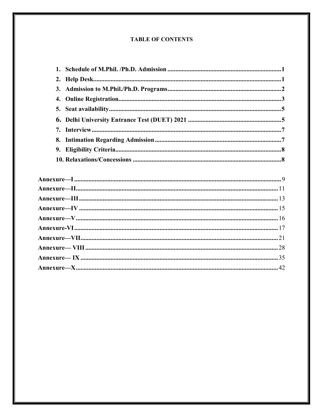## **TABLE OF CONTENTS**

| 4. |  |
|----|--|
| 5. |  |
|    |  |
| 7. |  |
| 8. |  |
|    |  |
|    |  |
|    |  |
|    |  |
|    |  |
|    |  |
|    |  |
|    |  |
|    |  |
|    |  |
|    |  |
|    |  |
|    |  |
|    |  |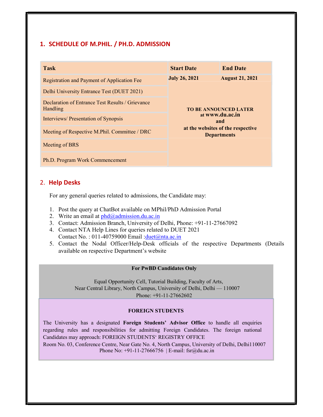## 1. SCHEDULE OF M.PHIL. / PH.D. ADMISSION

| <b>Task</b>                                                  | <b>Start Date</b>                                                                                                 | <b>End Date</b> |
|--------------------------------------------------------------|-------------------------------------------------------------------------------------------------------------------|-----------------|
| Registration and Payment of Application Fee                  | <b>July 26, 2021</b><br><b>August 21, 2021</b>                                                                    |                 |
| Delhi University Entrance Test (DUET 2021)                   |                                                                                                                   |                 |
| Declaration of Entrance Test Results / Grievance<br>Handling | <b>TO BE ANNOUNCED LATER</b><br>at www.du.ac.in<br>and<br>at the websites of the respective<br><b>Departments</b> |                 |
| Interviews/ Presentation of Synopsis                         |                                                                                                                   |                 |
| Meeting of Respective M.Phil. Committee / DRC                |                                                                                                                   |                 |
| Meeting of BRS                                               |                                                                                                                   |                 |
| Ph.D. Program Work Commencement                              |                                                                                                                   |                 |

## 2. Help Desks

For any general queries related to admissions, the Candidate may:

- 1. Post the query at ChatBot available on MPhil/PhD Admission Portal
- 2. Write an email at  $phd$ @admission.du.ac.in
- 3. Contact: Admission Branch, University of Delhi, Phone: +91-11-27667092
- 4. Contact NTA Help Lines for queries related to DUET 2021 Contact No.:  $011-40759000$  Email: $\frac{\text{duet}(\partial n \text{ta.ac.in})}{\text{duet}(\partial n \text{ta.ac.in})}$
- 5. Contact the Nodal Officer/Help-Desk officials of the respective Departments (Details available on respective Department's website

#### For PwBD Candidates Only

Equal Opportunity Cell, Tutorial Building, Faculty of Arts, Near Central Library, North Campus, University of Delhi, Delhi — 110007 Phone: +91-11-27662602

## FOREIGN STUDENTS

The University has a designated Foreign Students' Advisor Office to handle all enquiries regarding rules and responsibilities for admitting Foreign Candidates. The foreign national Candidates may approach: FOREIGN STUDENTS' REGISTRY OFFICE

Room No. 03, Conference Centre, Near Gate No. 4, North Campus, University of Delhi, Delhi110007 Phone No: +91-11-27666756 | E-mail: fsr@du.ac.in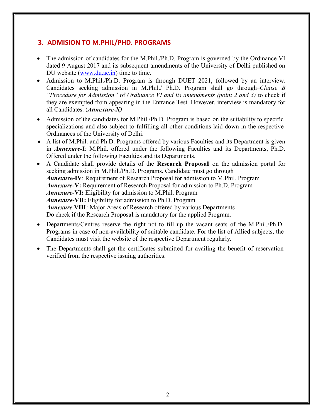## 3. ADMISION TO M.PHIL/PHD. PROGRAMS

- The admission of candidates for the M.Phil./Ph.D. Program is governed by the Ordinance VI dated 9 August 2017 and its subsequent amendments of the University of Delhi published on DU website (www.du.ac.in) time to time.
- Admission to M.Phil./Ph.D. Program is through DUET 2021, followed by an interview. Candidates seeking admission in M.Phil./ Ph.D. Program shall go through―Clause B "Procedure for Admission" of Ordinance VI and its amendments (point 2 and 3) to check if they are exempted from appearing in the Entrance Test. However, interview is mandatory for all Candidates. (Annexure-X)
- Admission of the candidates for M.Phil./Ph.D. Program is based on the suitability to specific specializations and also subject to fulfilling all other conditions laid down in the respective Ordinances of the University of Delhi.
- A list of M.Phil. and Ph.D. Programs offered by various Faculties and its Department is given in *Annexure-I*: M.Phil. offered under the following Faculties and its Departments, Ph.D. Offered under the following Faculties and its Departments.
- A Candidate shall provide details of the Research Proposal on the admission portal for seeking admission in M.Phil./Ph.D. Programs. Candidate must go through Annexure-IV: Requirement of Research Proposal for admission to M.Phil. Program Annexure-V: Requirement of Research Proposal for admission to Ph.D. Program Annexure-VI: Eligibility for admission to M.Phil. Program Annexure-VII: Eligibility for admission to Ph.D. Program Annexure VIII: Major Areas of Research offered by various Departments Do check if the Research Proposal is mandatory for the applied Program.
- Departments/Centres reserve the right not to fill up the vacant seats of the M.Phil./Ph.D. Programs in case of non-availability of suitable candidate. For the list of Allied subjects, the Candidates must visit the website of the respective Department regularly.
- The Departments shall get the certificates submitted for availing the benefit of reservation verified from the respective issuing authorities.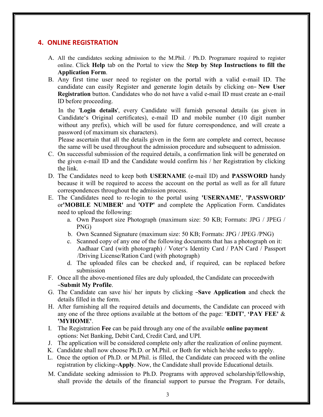## 4. ONLINE REGISTRATION

- A. All the candidates seeking admission to the M.Phil. / Ph.D. Programare required to register online. Click Help tab on the Portal to view the Step by Step Instructions to fill the Application Form.
- B. Any first time user need to register on the portal with a valid e-mail ID. The candidate can easily Register and generate login details by clicking on-New User Registration button. Candidates who do not have a valid e-mail ID must create an e-mail ID before proceeding.

In the 'Login details', every Candidate will furnish personal details (as given in Candidate's Original certificates), e-mail ID and mobile number (10 digit number without any prefix), which will be used for future correspondence, and will create a password (of maximum six characters).

Please ascertain that all the details given in the form are complete and correct, because the same will be used throughout the admission procedure and subsequent to admission.

- C. On successful submission of the required details, a confirmation link will be generated on the given e-mail ID and the Candidate would confirm his / her Registration by clicking the link.
- D. The Candidates need to keep both USERNAME (e-mail ID) and PASSWORD handy because it will be required to access the account on the portal as well as for all future correspondences throughout the admission process.
- E. The Candidates need to re-login to the portal using 'USERNAME', 'PASSWORD' or'MOBILE NUMBER' and 'OTP' and complete the Application Form. Candidates need to upload the following:
	- a. Own Passport size Photograph (maximum size: 50 KB; Formats: JPG / JPEG / PNG)
	- b. Own Scanned Signature (maximum size: 50 KB; Formats: JPG / JPEG /PNG)
	- c. Scanned copy of any one of the following documents that has a photograph on it: Aadhaar Card (with photograph) / Voter's Identity Card / PAN Card / Passport /Driving License/Ration Card (with photograph)
	- d. The uploaded files can be checked and, if required, can be replaced before submission
- F. Once all the above-mentioned files are duly uploaded, the Candidate can proceedwith ―Submit My Profile.
- G. The Candidate can save his/ her inputs by clicking ―Save Application and check the details filled in the form.
- H. After furnishing all the required details and documents, the Candidate can proceed with any one of the three options available at the bottom of the page: **'EDIT'**, **'PAY FEE'** & 'MYHOME'.
- I. The Registration Fee can be paid through any one of the available online payment options: Net Banking, Debit Card, Credit Card, and UPI.
- J. The application will be considered complete only after the realization of online payment.
- K. Candidate shall now choose Ph.D. or M.Phil. or Both for which he/she seeks to apply.
- L. Once the option of Ph.D. or M.Phil. is filled, the Candidate can proceed with the online registration by clicking–Apply. Now, the Candidate shall provide Educational details.
- M. Candidate seeking admission to Ph.D. Programs with approved scholarship/fellowship, shall provide the details of the financial support to pursue the Program. For details,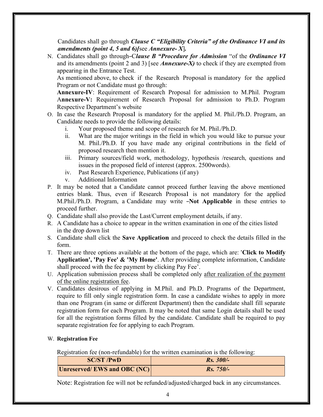Candidates shall go through *Clause C* "Eligibility Criteria" of the Ordinance VI and its amendments (point 4, 5 and 6) [see Annexure-X].

N. Candidates shall go through–Clause B "Procedure for Admission "of the Ordinance VI" and its amendments (point 2 and 3) [see *Annexure-X*) to check if they are exempted from appearing in the Entrance Test.

As mentioned above, to check if the Research Proposal is mandatory for the applied Program or not Candidate must go through:

Annexure-IV: Requirement of Research Proposal for admission to M.Phil. Program Annexure-V: Requirement of Research Proposal for admission to Ph.D. Program Respective Department's website

- O. In case the Research Proposal is mandatory for the applied M. Phil./Ph.D. Program, an Candidate needs to provide the following details:
	- i. Your proposed theme and scope of research for M. Phil./Ph.D.
	- ii. What are the major writings in the field in which you would like to pursue your M. Phil./Ph.D. If you have made any original contributions in the field of proposed research then mention it.
	- iii. Primary sources/field work, methodology, hypothesis /research, questions and issues in the proposed field of interest (approx. 2500words).
	- iv. Past Research Experience, Publications (if any)
	- v. Additional Information
- P. It may be noted that a Candidate cannot proceed further leaving the above mentioned entries blank. Thus, even if Research Proposal is not mandatory for the applied M.Phil./Ph.D. Program, a Candidate may write -Not Applicable in these entries to proceed further.
- Q. Candidate shall also provide the Last/Current employment details, if any.
- R. A Candidate has a choice to appear in the written examination in one of the cities listed in the drop down list
- S. Candidate shall click the Save Application and proceed to check the details filled in the form.
- T. There are three options available at the bottom of the page, which are: 'Click to Modify Application', 'Pay Fee' & 'My Home'. After providing complete information, Candidate shall proceed with the fee payment by clicking Pay Fee'.
- U. Application submission process shall be completed only after realization of the payment of the online registration fee.
- V. Candidates desirous of applying in M.Phil. and Ph.D. Programs of the Department, require to fill only single registration form. In case a candidate wishes to apply in more than one Program (in same or different Department) then the candidate shall fill separate registration form for each Program. It may be noted that same Login details shall be used for all the registration forms filled by the candidate. Candidate shall be required to pay separate registration fee for applying to each Program.

## W. Registration Fee

Registration fee (non-refundable) for the written examination is the following:

| <b>SC/ST/PwD</b>            | $Rs. 300/-$ |
|-----------------------------|-------------|
| Unreserved/EWS and OBC (NC) | $Rs. 750/-$ |

Note: Registration fee will not be refunded/adjusted/charged back in any circumstances.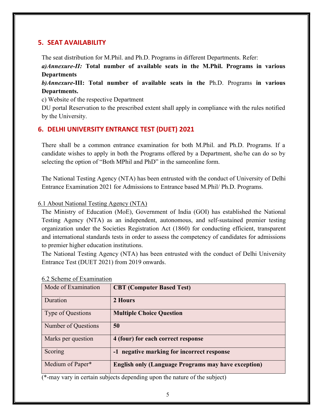## 5. SEAT AVAILABILITY

The seat distribution for M.Phil. and Ph.D. Programs in different Departments. Refer:

a)Annexure-II: Total number of available seats in the M.Phil. Programs in various **Departments** 

b)Annexure-III: Total number of available seats in the Ph.D. Programs in various Departments.

c) Website of the respective Department

DU portal Reservation to the prescribed extent shall apply in compliance with the rules notified by the University.

## 6. DELHI UNIVERSITY ENTRANCE TEST (DUET) 2021

There shall be a common entrance examination for both M.Phil. and Ph.D. Programs. If a candidate wishes to apply in both the Programs offered by a Department, she/he can do so by selecting the option of "Both MPhil and PhD" in the sameonline form.

The National Testing Agency (NTA) has been entrusted with the conduct of University of Delhi Entrance Examination 2021 for Admissions to Entrance based M.Phil/ Ph.D. Programs.

## 6.1 About National Testing Agency (NTA)

The Ministry of Education (MoE), Government of India (GOI) has established the National Testing Agency (NTA) as an independent, autonomous, and self-sustained premier testing organization under the Societies Registration Act (1860) for conducting efficient, transparent and international standards tests in order to assess the competency of candidates for admissions to premier higher education institutions.

The National Testing Agency (NTA) has been entrusted with the conduct of Delhi University Entrance Test (DUET 2021) from 2019 onwards.

| Mode of Examination | <b>CBT</b> (Computer Based Test)                           |
|---------------------|------------------------------------------------------------|
| Duration            | 2 Hours                                                    |
| Type of Questions   | <b>Multiple Choice Question</b>                            |
| Number of Questions | 50                                                         |
| Marks per question  | 4 (four) for each correct response                         |
| Scoring             | -1 negative marking for incorrect response                 |
| Medium of Paper*    | <b>English only (Language Programs may have exception)</b> |

## 6.2 Scheme of Examination

(\*-may vary in certain subjects depending upon the nature of the subject)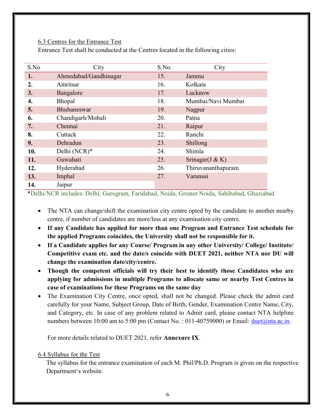## 6.3 Centres for the Entrance Test

Entrance Test shall be conducted at the Centres located in the following cities:

| S.No | City                  | S.No. | City               |
|------|-----------------------|-------|--------------------|
| 1.   | Ahmedabad/Gandhinagar | 15.   | Jammu              |
| 2.   | Amritsar              | 16.   | Kolkata            |
| 3.   | Bangalore             | 17.   | Lucknow            |
| 4.   | Bhopal                | 18.   | Mumbai/Navi Mumbai |
| 5.   | Bhubaneswar           | 19.   | Nagpur             |
| 6.   | Chandigarh/Mohali     | 20.   | Patna              |
| 7.   | Chennai               | 21.   | Raipur             |
| 8.   | Cuttack               | 22.   | Ranchi             |
| 9.   | Dehradun              | 23.   | Shillong           |
| 10.  | Delhi (NCR)*          | 24.   | Shimla             |
| 11.  | Guwahati              | 25.   | Srinagar $(J & K)$ |
| 12.  | Hyderabad             | 26.   | Thiruvananthapuram |
| 13.  | Imphal                | 27.   | Varanasi           |
| 14.  | Jaipur                |       |                    |

\*Delhi/NCR includes: Delhi, Gurugram, Faridabad, Noida, Greater Noida, Sahibabad, Ghaziabad

- The NTA can change/shift the examination city centre opted by the candidate to another nearby centre, if number of candidates are more/less at any examination city centre.
- If any Candidate has applied for more than one Program and Entrance Test schedule for the applied Programs coincides, the University shall not be responsible for it.
- If a Candidate applies for any Course/ Program in any other University/ College/ Institute/ Competitive exam etc. and the date/s coincide with DUET 2021, neither NTA nor DU will change the examination date/city/centre.
- Though the competent officials will try their best to identify those Candidates who are applying for admissions in multiple Programs to allocate same or nearby Test Centres in case of examinations for these Programs on the same day
- The Examination City Centre, once opted, shall not be changed. Please check the admit card carefully for your Name, Subject Group, Date of Birth, Gender, Examination Centre Name, City, and Category, etc. In case of any problem related to Admit card, please contact NTA helpline numbers between 10:00 am to 5:00 pm (Contact No. : 011-40759000) or Email:  $\frac{duet(\omega)nta.ac.in.}{duet(\omega)nta.ac.in.}$

For more details related to DUET 2021, refer Annexure IX.

## 6.4 Syllabus for the Test

The syllabus for the entrance examination of each M. Phil/Ph.D. Program is given on the respective Department's website.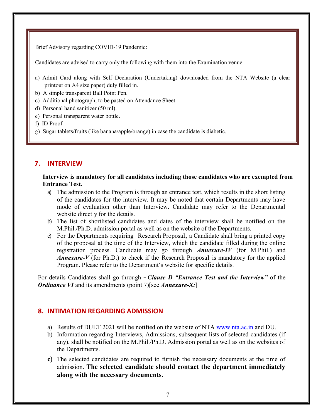Brief Advisory regarding COVID-19 Pandemic:

Candidates are advised to carry only the following with them into the Examination venue:

- a) Admit Card along with Self Declaration (Undertaking) downloaded from the NTA Website (a clear printout on A4 size paper) duly filled in.
- b) A simple transparent Ball Point Pen.
- c) Additional photograph, to be pasted on Attendance Sheet
- d) Personal hand sanitizer (50 ml).
- e) Personal transparent water bottle.
- f) ID Proof
- g) Sugar tablets/fruits (like banana/apple/orange) in case the candidate is diabetic.

## 7. INTERVIEW

Interview is mandatory for all candidates including those candidates who are exempted from Entrance Test.

- a) The admission to the Program is through an entrance test, which results in the short listing of the candidates for the interview. It may be noted that certain Departments may have mode of evaluation other than Interview. Candidate may refer to the Departmental website directly for the details.
- b) The list of shortlisted candidates and dates of the interview shall be notified on the M.Phil./Ph.D. admission portal as well as on the website of the Departments.
- c) For the Departments requiring ―Research Proposal, a Candidate shall bring a printed copy of the proposal at the time of the Interview, which the candidate filled during the online registration process. Candidate may go through *Annexure-IV* (for M.Phil.) and **Annexure-V** (for Ph.D.) to check if the-Research Proposal is mandatory for the applied Program. Please refer to the Department's website for specific details.

For details Candidates shall go through - Clause D "Entrance Test and the Interview" of the *Ordinance VI* and its amendments (point 7) [see *Annexure-X*:]

## 8. INTIMATION REGARDING ADMISSION

- a) Results of DUET 2021 will be notified on the website of NTA www.nta.ac.in and DU.
- b) Information regarding Interviews, Admissions, subsequent lists of selected candidates (if any), shall be notified on the M.Phil./Ph.D. Admission portal as well as on the websites of the Departments.
- c) The selected candidates are required to furnish the necessary documents at the time of admission. The selected candidate should contact the department immediately along with the necessary documents.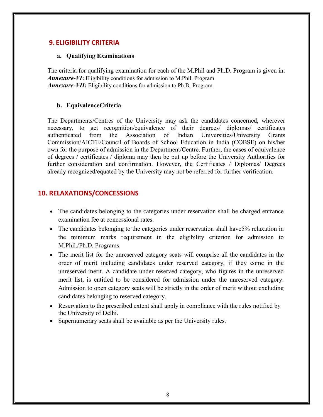## 9. ELIGIBILITY CRITERIA

#### a. Qualifying Examinations

The criteria for qualifying examination for each of the M.Phil and Ph.D. Program is given in: Annexure-VI: Eligibility conditions for admission to M.Phil. Program **Annexure-VII:** Eligibility conditions for admission to Ph.D. Program

## b. EquivalenceCriteria

The Departments/Centres of the University may ask the candidates concerned, wherever necessary, to get recognition/equivalence of their degrees/ diplomas/ certificates authenticated from the Association of Indian Universities/University Grants Commission/AICTE/Council of Boards of School Education in India (COBSE) on his/her own for the purpose of admission in the Department/Centre. Further, the cases of equivalence of degrees / certificates / diploma may then be put up before the University Authorities for further consideration and confirmation. However, the Certificates / Diplomas/ Degrees already recognized/equated by the University may not be referred for further verification.

## 10. RELAXATIONS/CONCESSIONS

- The candidates belonging to the categories under reservation shall be charged entrance examination fee at concessional rates.
- The candidates belonging to the categories under reservation shall have 5% relaxation in the minimum marks requirement in the eligibility criterion for admission to M.Phil./Ph.D. Programs.
- The merit list for the unreserved category seats will comprise all the candidates in the order of merit including candidates under reserved category, if they come in the unreserved merit. A candidate under reserved category, who figures in the unreserved merit list, is entitled to be considered for admission under the unreserved category. Admission to open category seats will be strictly in the order of merit without excluding candidates belonging to reserved category.
- Reservation to the prescribed extent shall apply in compliance with the rules notified by the University of Delhi.
- Supernumerary seats shall be available as per the University rules.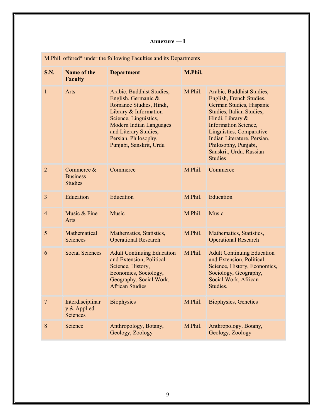## Annexure — I

|                | M.Phil. offered* under the following Faculties and its Departments |                                                                                                                                                                                                                                             |         |                                                                                                                                                                                                                                                                                                   |
|----------------|--------------------------------------------------------------------|---------------------------------------------------------------------------------------------------------------------------------------------------------------------------------------------------------------------------------------------|---------|---------------------------------------------------------------------------------------------------------------------------------------------------------------------------------------------------------------------------------------------------------------------------------------------------|
| <b>S.N.</b>    | Name of the<br><b>Faculty</b>                                      | <b>Department</b>                                                                                                                                                                                                                           | M.Phil. |                                                                                                                                                                                                                                                                                                   |
| $\mathbf{1}$   | Arts                                                               | Arabic, Buddhist Studies,<br>English, Germanic &<br>Romance Studies, Hindi,<br>Library & Information<br>Science, Linguistics,<br><b>Modern Indian Languages</b><br>and Literary Studies,<br>Persian, Philosophy,<br>Punjabi, Sanskrit, Urdu | M.Phil. | Arabic, Buddhist Studies,<br>English, French Studies,<br>German Studies, Hispanic<br>Studies, Italian Studies,<br>Hindi, Library &<br><b>Information Science,</b><br>Linguistics, Comparative<br>Indian Literature, Persian,<br>Philosophy, Punjabi,<br>Sanskrit, Urdu, Russian<br><b>Studies</b> |
| $\overline{2}$ | Commerce &<br><b>Business</b><br><b>Studies</b>                    | Commerce                                                                                                                                                                                                                                    | M.Phil. | Commerce                                                                                                                                                                                                                                                                                          |
| $\overline{3}$ | Education                                                          | Education                                                                                                                                                                                                                                   | M.Phil. | Education                                                                                                                                                                                                                                                                                         |
| $\overline{4}$ | Music & Fine<br>Arts                                               | Music                                                                                                                                                                                                                                       | M.Phil. | Music                                                                                                                                                                                                                                                                                             |
| 5              | Mathematical<br>Sciences                                           | Mathematics, Statistics,<br><b>Operational Research</b>                                                                                                                                                                                     | M.Phil. | Mathematics, Statistics,<br><b>Operational Research</b>                                                                                                                                                                                                                                           |
| 6              | <b>Social Sciences</b>                                             | <b>Adult Continuing Education</b><br>and Extension, Political<br>Science, History,<br>Economics, Sociology,<br>Geography, Social Work,<br><b>African Studies</b>                                                                            | M.Phil. | <b>Adult Continuing Education</b><br>and Extension, Political<br>Science, History, Economics,<br>Sociology, Geography,<br>Social Work, African<br>Studies.                                                                                                                                        |
| $\overline{7}$ | Interdisciplinar<br>y & Applied<br><b>Sciences</b>                 | <b>Biophysics</b>                                                                                                                                                                                                                           | M.Phil. | <b>Biophysics, Genetics</b>                                                                                                                                                                                                                                                                       |
| 8              | Science                                                            | Anthropology, Botany,<br>Geology, Zoology                                                                                                                                                                                                   | M.Phil. | Anthropology, Botany,<br>Geology, Zoology                                                                                                                                                                                                                                                         |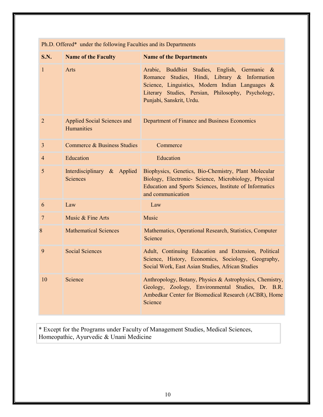| S.N.           | <b>Name of the Faculty</b>                       | <b>Name of the Departments</b>                                                                                                                                                                                                      |
|----------------|--------------------------------------------------|-------------------------------------------------------------------------------------------------------------------------------------------------------------------------------------------------------------------------------------|
| 1              | Arts                                             | Arabic, Buddhist Studies, English, Germanic &<br>Romance Studies, Hindi, Library & Information<br>Science, Linguistics, Modern Indian Languages &<br>Literary Studies, Persian, Philosophy, Psychology,<br>Punjabi, Sanskrit, Urdu. |
| $\overline{2}$ | <b>Applied Social Sciences and</b><br>Humanities | Department of Finance and Business Economics                                                                                                                                                                                        |
| 3              | Commerce & Business Studies                      | Commerce                                                                                                                                                                                                                            |
| $\overline{4}$ | Education                                        | Education                                                                                                                                                                                                                           |
| 5              | Interdisciplinary & Applied<br><b>Sciences</b>   | Biophysics, Genetics, Bio-Chemistry, Plant Molecular<br>Biology, Electronic- Science, Microbiology, Physical<br>Education and Sports Sciences, Institute of Informatics<br>and communication                                        |
| 6              | Law                                              | Law                                                                                                                                                                                                                                 |
| 7              | Music & Fine Arts                                | Music                                                                                                                                                                                                                               |
| 8              | <b>Mathematical Sciences</b>                     | Mathematics, Operational Research, Statistics, Computer<br>Science                                                                                                                                                                  |
| 9              | <b>Social Sciences</b>                           | Adult, Continuing Education and Extension, Political<br>Science, History, Economics, Sociology, Geography,<br>Social Work, East Asian Studies, African Studies                                                                      |
| 10             | Science                                          | Anthropology, Botany, Physics & Astrophysics, Chemistry,<br>Geology, Zoology, Environmental Studies, Dr. B.R.<br>Ambedkar Center for Biomedical Research (ACBR), Home<br>Science                                                    |

Ph.D. Offered\* under the following Faculties and its Departments

\* Except for the Programs under Faculty of Management Studies, Medical Sciences, Homeopathic, Ayurvedic & Unani Medicine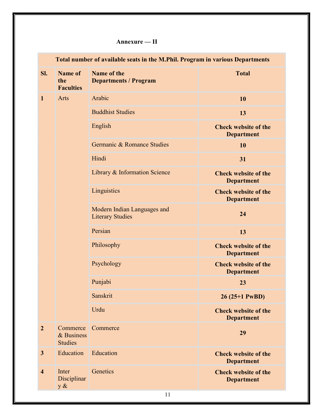## Annexure — II

|                | Total number of available seats in the M.Phil. Program in various Departments |                                                        |                                                  |  |
|----------------|-------------------------------------------------------------------------------|--------------------------------------------------------|--------------------------------------------------|--|
| SI.            | <b>Name of</b><br>the<br><b>Faculties</b>                                     | Name of the<br><b>Departments / Program</b>            | <b>Total</b>                                     |  |
| $\mathbf{1}$   | Arts                                                                          | Arabic                                                 | 10                                               |  |
|                |                                                                               | <b>Buddhist Studies</b>                                | 13                                               |  |
|                |                                                                               | English                                                | <b>Check website of the</b><br><b>Department</b> |  |
|                |                                                                               | Germanic & Romance Studies                             | 10                                               |  |
|                |                                                                               | Hindi                                                  | 31                                               |  |
|                |                                                                               | Library & Information Science                          | <b>Check website of the</b><br><b>Department</b> |  |
|                |                                                                               | Linguistics                                            | <b>Check website of the</b><br><b>Department</b> |  |
|                |                                                                               | Modern Indian Languages and<br><b>Literary Studies</b> | 24                                               |  |
|                |                                                                               | Persian                                                | 13                                               |  |
|                |                                                                               | Philosophy                                             | <b>Check website of the</b><br><b>Department</b> |  |
|                |                                                                               | Psychology                                             | <b>Check website of the</b><br><b>Department</b> |  |
|                |                                                                               | Punjabi                                                | 23                                               |  |
|                |                                                                               | Sanskrit                                               | 26 (25+1 PwBD)                                   |  |
|                |                                                                               | Urdu                                                   | <b>Check website of the</b><br><b>Department</b> |  |
| $\overline{2}$ | Commerce<br>& Business<br><b>Studies</b>                                      | Commerce                                               | 29                                               |  |
| $\mathbf{3}$   | Education                                                                     | Education                                              | <b>Check website of the</b><br><b>Department</b> |  |
| $\overline{4}$ | Inter<br>Disciplinar<br>y &                                                   | Genetics                                               | <b>Check website of the</b><br><b>Department</b> |  |
|                |                                                                               | 11                                                     |                                                  |  |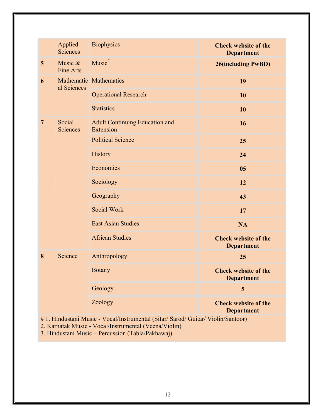|                 | Applied<br><b>Sciences</b>  | <b>Biophysics</b>                                                                       | <b>Check website of the</b><br><b>Department</b> |
|-----------------|-----------------------------|-----------------------------------------------------------------------------------------|--------------------------------------------------|
| $5\phantom{.0}$ | Music &<br><b>Fine Arts</b> | $Music^{\#}$                                                                            | <b>26(including PwBD)</b>                        |
| 6               | al Sciences                 | Mathematic Mathematics                                                                  | 19                                               |
|                 |                             | <b>Operational Research</b>                                                             | 10                                               |
|                 |                             | <b>Statistics</b>                                                                       | 10                                               |
| $\overline{7}$  | Social<br><b>Sciences</b>   | <b>Adult Continuing Education and</b><br>Extension                                      | 16                                               |
|                 |                             | <b>Political Science</b>                                                                | 25                                               |
|                 |                             | History                                                                                 | 24                                               |
|                 |                             | Economics                                                                               | 05                                               |
|                 |                             | Sociology                                                                               | 12                                               |
|                 |                             | Geography                                                                               | 43                                               |
|                 |                             | Social Work                                                                             | 17                                               |
|                 |                             | <b>East Asian Studies</b>                                                               | <b>NA</b>                                        |
|                 |                             | <b>African Studies</b>                                                                  | <b>Check website of the</b><br><b>Department</b> |
| 8               | Science                     | Anthropology                                                                            | 25                                               |
|                 |                             | <b>Botany</b>                                                                           | <b>Check website of the</b><br><b>Department</b> |
|                 |                             | Geology                                                                                 | 5                                                |
|                 |                             | Zoology<br>$V_{\alpha}$ (Instrumental (Siter Sexed) Guitar Violin Senteor)<br>$i$ Music | <b>Check website of the</b><br><b>Department</b> |

# 1. Hindustani Music - Vocal/Instrumental (Sitar/ Sarod/ Guitar/ Violin/Santoor)

2. Karnatak Music - Vocal/Instrumental (Veena/Violin)

3. Hindustani Music – Percussion (Tabla/Pakhawaj)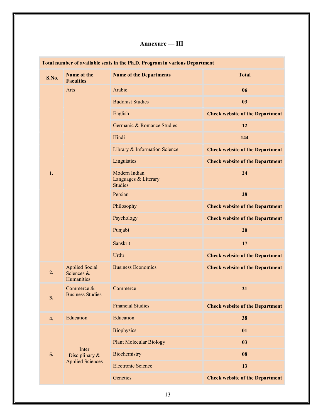## Annexure — III

|       | Total number of available seats in the Ph.D. Program in various Department |                                                         |                                        |  |
|-------|----------------------------------------------------------------------------|---------------------------------------------------------|----------------------------------------|--|
| S.No. | Name of the<br><b>Faculties</b>                                            | <b>Name of the Departments</b>                          | <b>Total</b>                           |  |
|       | Arts                                                                       | Arabic                                                  | 06                                     |  |
|       |                                                                            | <b>Buddhist Studies</b>                                 | 03                                     |  |
|       |                                                                            | English                                                 | <b>Check website of the Department</b> |  |
|       |                                                                            | Germanic & Romance Studies                              | 12                                     |  |
|       |                                                                            | Hindi                                                   | 144                                    |  |
|       |                                                                            | Library & Information Science                           | <b>Check website of the Department</b> |  |
|       |                                                                            | Linguistics                                             | <b>Check website of the Department</b> |  |
| 1.    |                                                                            | Modern Indian<br>Languages & Literary<br><b>Studies</b> | 24                                     |  |
|       |                                                                            | Persian                                                 | 28                                     |  |
|       |                                                                            | Philosophy                                              | <b>Check website of the Department</b> |  |
|       |                                                                            | Psychology                                              | <b>Check website of the Department</b> |  |
|       |                                                                            | Punjabi                                                 | 20                                     |  |
|       |                                                                            | Sanskrit                                                | 17                                     |  |
|       |                                                                            | Urdu                                                    | <b>Check website of the Department</b> |  |
| 2.    | <b>Applied Social</b><br>Sciences &<br>Humanities                          | <b>Business Economics</b>                               | <b>Check website of the Department</b> |  |
| 3.    | Commerce &<br><b>Business Studies</b>                                      | Commerce                                                | 21                                     |  |
|       |                                                                            | <b>Financial Studies</b>                                | <b>Check website of the Department</b> |  |
| 4.    | Education                                                                  | Education                                               | 38                                     |  |
|       |                                                                            | <b>Biophysics</b>                                       | 01                                     |  |
|       |                                                                            | <b>Plant Molecular Biology</b>                          | 03                                     |  |
| 5.    | Inter<br>Disciplinary &                                                    | Biochemistry                                            | 08                                     |  |
|       | <b>Applied Sciences</b>                                                    | <b>Electronic Science</b>                               | 13                                     |  |
|       |                                                                            | Genetics                                                | <b>Check website of the Department</b> |  |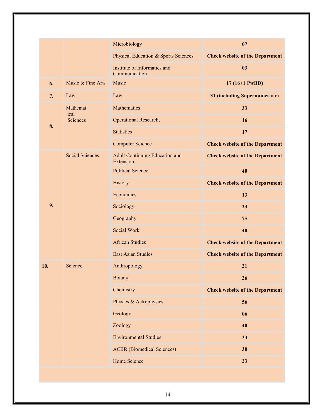|     |                        | Microbiology                                       | 07                                     |
|-----|------------------------|----------------------------------------------------|----------------------------------------|
|     |                        | <b>Physical Education &amp; Sports Sciences</b>    | <b>Check website of the Department</b> |
|     |                        | Institute of Informatics and<br>Communication      | 03                                     |
| 6.  | Music & Fine Arts      | Music                                              | $17(16+1 PwBD)$                        |
| 7.  | Law                    | Law                                                | 31 (including Supernumerary)           |
|     | Mathemat<br>ical       | <b>Mathematics</b>                                 | 33                                     |
|     | Sciences               | Operational Research,                              | 16                                     |
| 8.  |                        | <b>Statistics</b>                                  | 17                                     |
|     |                        | <b>Computer Science</b>                            | <b>Check website of the Department</b> |
|     | <b>Social Sciences</b> | <b>Adult Continuing Education and</b><br>Extension | <b>Check website of the Department</b> |
|     |                        | <b>Political Science</b>                           | 40                                     |
|     |                        | History                                            | <b>Check website of the Department</b> |
|     |                        | Economics                                          | 13                                     |
| 9.  |                        | Sociology                                          | 23                                     |
|     |                        | Geography                                          | 75                                     |
|     |                        | <b>Social Work</b>                                 | 40                                     |
|     |                        | <b>African Studies</b>                             | <b>Check website of the Department</b> |
|     |                        | <b>East Asian Studies</b>                          | <b>Check website of the Department</b> |
| 10. | Science                | Anthropology                                       | 21                                     |
|     |                        | <b>Botany</b>                                      | 26                                     |
|     |                        | Chemistry                                          | <b>Check website of the Department</b> |
|     |                        | Physics & Astrophysics                             | 56                                     |
|     |                        | Geology                                            | 06                                     |
|     |                        | Zoology                                            | 40                                     |
|     |                        | <b>Environmental Studies</b>                       | 33                                     |
|     |                        | <b>ACBR</b> (Biomedical Sciences)                  | 30                                     |
|     |                        | Home Science                                       | 23                                     |
|     |                        |                                                    |                                        |
|     |                        |                                                    |                                        |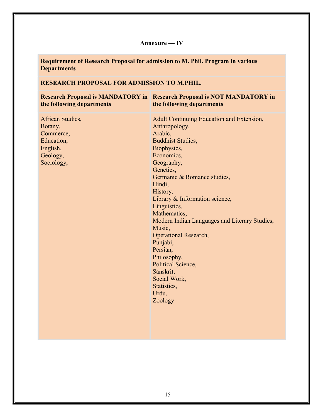## Annexure — IV

Requirement of Research Proposal for admission to M. Phil. Program in various **Departments** 

## RESEARCH PROPOSAL FOR ADMISSION TO M.PHIL.

| the following departments                                                                    | <b>Research Proposal is MANDATORY in Research Proposal is NOT MANDATORY in</b><br>the following departments                                                                                                                                                                                                                                                                                                                                                                                                     |
|----------------------------------------------------------------------------------------------|-----------------------------------------------------------------------------------------------------------------------------------------------------------------------------------------------------------------------------------------------------------------------------------------------------------------------------------------------------------------------------------------------------------------------------------------------------------------------------------------------------------------|
| African Studies,<br>Botany,<br>Commerce,<br>Education,<br>English,<br>Geology,<br>Sociology, | <b>Adult Continuing Education and Extension,</b><br>Anthropology,<br>Arabic,<br><b>Buddhist Studies,</b><br>Biophysics,<br>Economics,<br>Geography,<br>Genetics,<br>Germanic & Romance studies,<br>Hindi,<br>History,<br>Library & Information science,<br>Linguistics,<br>Mathematics,<br>Modern Indian Languages and Literary Studies,<br>Music,<br><b>Operational Research,</b><br>Punjabi,<br>Persian,<br>Philosophy,<br>Political Science,<br>Sanskrit,<br>Social Work,<br>Statistics,<br>Urdu,<br>Zoology |
|                                                                                              |                                                                                                                                                                                                                                                                                                                                                                                                                                                                                                                 |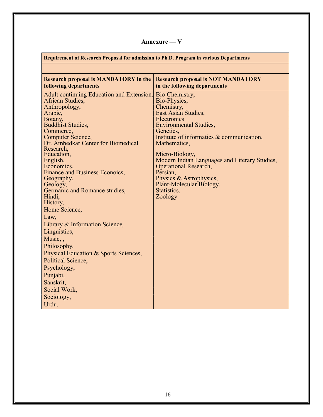## Annexure — V

| <b>Requirement of Research Proposal for admission to Ph.D. Program in various Departments</b> |                                               |
|-----------------------------------------------------------------------------------------------|-----------------------------------------------|
|                                                                                               |                                               |
| <b>Research proposal is MANDATORY in the</b>                                                  | <b>Research proposal is NOT MANDATORY</b>     |
| <b>following departments</b>                                                                  | in the following departments                  |
| Adult continuing Education and Extension,<br>African Studies,                                 | Bio-Chemistry,<br>Bio-Physics,                |
| Anthropology,                                                                                 | Chemistry,                                    |
| Arabic,                                                                                       | East Asian Studies,                           |
| Botany,                                                                                       | Electronics                                   |
| <b>Buddhist Studies,</b>                                                                      | <b>Environmental Studies,</b>                 |
| Commerce,                                                                                     | Genetics,                                     |
| Computer Science,                                                                             | Institute of informatics & communication,     |
| Dr. Ambedkar Center for Biomedical<br>Research,                                               | Mathematics,                                  |
| Education,                                                                                    | Micro-Biology,                                |
| English,                                                                                      | Modern Indian Languages and Literary Studies, |
| Economics,                                                                                    | <b>Operational Research,</b>                  |
| Finance and Business Econoics,                                                                | Persian,                                      |
| Geography,                                                                                    | Physics & Astrophysics,                       |
| Geology,                                                                                      | Plant-Molecular Biology,                      |
| Germanic and Romance studies,<br>Hindi,                                                       | Statistics,<br>Zoology                        |
| History,                                                                                      |                                               |
| Home Science,                                                                                 |                                               |
| Law,                                                                                          |                                               |
|                                                                                               |                                               |
| Library & Information Science,                                                                |                                               |
| Linguistics,                                                                                  |                                               |
| Music,,                                                                                       |                                               |
| Philosophy,                                                                                   |                                               |
| Physical Education & Sports Sciences,                                                         |                                               |
| Political Science,                                                                            |                                               |
| Psychology,                                                                                   |                                               |
| Punjabi,                                                                                      |                                               |
| Sanskrit,                                                                                     |                                               |
| Social Work,                                                                                  |                                               |
| Sociology,                                                                                    |                                               |
| Urdu.                                                                                         |                                               |
|                                                                                               |                                               |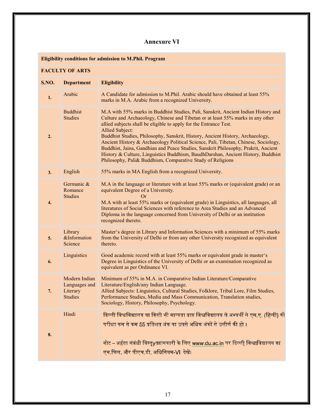## Annexure VI

Eligibility conditions for admission to M.Phil. Program

## FACULTY OF ARTS

| <b>S.NO.</b> | <b>Department</b>                                            | <b>Eligibility</b>                                                                                                                                                                                                                                                                                                                                                                                                                                                                                                                                                                                                                                                             |
|--------------|--------------------------------------------------------------|--------------------------------------------------------------------------------------------------------------------------------------------------------------------------------------------------------------------------------------------------------------------------------------------------------------------------------------------------------------------------------------------------------------------------------------------------------------------------------------------------------------------------------------------------------------------------------------------------------------------------------------------------------------------------------|
| 1.           | Arabic                                                       | A Candidate for admission to M.Phil. Arabic should have obtained at least 55%<br>marks in M.A. Arabic from a recognized University.                                                                                                                                                                                                                                                                                                                                                                                                                                                                                                                                            |
| 2.           | <b>Buddhist</b><br><b>Studies</b>                            | M.A with 55% marks in Buddhist Studies, Pali, Sanskrit, Ancient Indian History and<br>Culture and Archaeology, Chinese and Tibetan or at least 55% marks in any other<br>allied subjects shall be eligible to apply for the Entrance Test.<br>Allied Subject:<br>Buddhist Studies, Philosophy, Sanskrit, History, Ancient History, Archaeology,<br>Ancient History & Archaeology Political Science, Pali, Tibetan, Chinese, Sociology,<br>Buddhist, Jaina, Gandhian and Peace Studies, Sanskrit Philosophy, Prakrit, Ancient<br>History & Culture, Linguistics Buddhism, BaudhDarshan, Ancient History, Buddhist<br>Philosophy, Pali& Buddhism, Comparative Study of Religions |
| 3.           | English                                                      | 55% marks in MA English from a recognized University.                                                                                                                                                                                                                                                                                                                                                                                                                                                                                                                                                                                                                          |
| 4.           | Germanic &<br>Romance<br><b>Studies</b>                      | M.A in the language or literature with at least 55% marks or (equivalent grade) or an<br>equivalent Degree of a University.<br>Or<br>M.A with at least 55% marks or (equivalent grade) in Linguistics, all languages, all<br>literatures of Social Sciences with reference to Area Studies and an Advanced<br>Diploma in the language concerned from University of Delhi or an institution<br>recognized thereto.                                                                                                                                                                                                                                                              |
| 5.           | Library<br>&Information<br>Science                           | Master's degree in Library and Information Sciences with a minimum of 55% marks<br>from the University of Delhi or from any other University recognized as equivalent<br>thereto.                                                                                                                                                                                                                                                                                                                                                                                                                                                                                              |
| 6.           | Linguistics                                                  | Good academic record with at least 55% marks or equivalent grade in master's<br>Degree in Linguistics of the University of Delhi or an examination recognized as<br>equivalent as per Ordinance VI.                                                                                                                                                                                                                                                                                                                                                                                                                                                                            |
| 7.           | Modern Indian<br>Languages and<br>Literary<br><b>Studies</b> | Minimum of 55% in M.A. in Comparative Indian Literature/Comparative<br>Literature/English/any Indian Language.<br>Allied Subjects: Linguistics, Cultural Studies, Folklore, Tribal Lore, Film Studies,<br>Performance Studies, Media and Mass Communication, Translation studies,<br>Sociology, History, Philosophy, Psychology.                                                                                                                                                                                                                                                                                                                                               |
| 8.           | Hindi                                                        | दिल्ली विश्वविद्यालय या किसी भी मान्यता प्राप्त विश्वविद्यालय से अभ्यर्थी ने एम.ए. (हिन्दी) की<br>परीक्षा कम से कम 55 प्रतिशत अंक या उससे अधिक अंकों से उत्तीर्ण की हो ।<br>नोट – अर्हता संबंधी विस्तृyतज्ञानकारी के लिए www.du.ac.in पर दिल्ली विश्वाविद्यालय का<br>एम.फिल. और पीएच.डी. अधिनियम-VI देखें।                                                                                                                                                                                                                                                                                                                                                                     |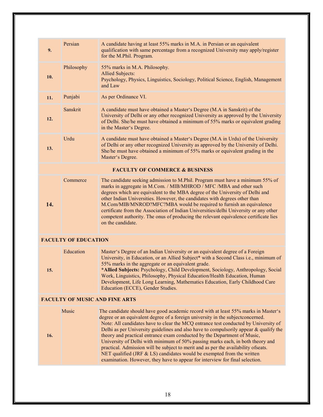| 9.  | Persian                     | A candidate having at least 55% marks in M.A. in Persian or an equivalent<br>qualification with same percentage from a recognized University may apply/register<br>for the M.Phil. Program.                                                                                                                                                                                                                                                                                                                                                                                                                                                                                                                                                                          |
|-----|-----------------------------|----------------------------------------------------------------------------------------------------------------------------------------------------------------------------------------------------------------------------------------------------------------------------------------------------------------------------------------------------------------------------------------------------------------------------------------------------------------------------------------------------------------------------------------------------------------------------------------------------------------------------------------------------------------------------------------------------------------------------------------------------------------------|
| 10. | Philosophy                  | 55% marks in M.A. Philosophy.<br><b>Allied Subjects:</b><br>Psychology, Physics, Linguistics, Sociology, Political Science, English, Management<br>and Law                                                                                                                                                                                                                                                                                                                                                                                                                                                                                                                                                                                                           |
| 11. | Punjabi                     | As per Ordinance VI.                                                                                                                                                                                                                                                                                                                                                                                                                                                                                                                                                                                                                                                                                                                                                 |
| 12. | Sanskrit                    | A candidate must have obtained a Master's Degree (M.A in Sanskrit) of the<br>University of Delhi or any other recognized University as approved by the University<br>of Delhi. She/he must have obtained a minimum of 55% marks or equivalent grading<br>in the Master's Degree.                                                                                                                                                                                                                                                                                                                                                                                                                                                                                     |
| 13. | Urdu                        | A candidate must have obtained a Master's Degree (M.A in Urdu) of the University<br>of Delhi or any other recognized University as approved by the University of Delhi.<br>She/he must have obtained a minimum of 55% marks or equivalent grading in the<br>Master's Degree.                                                                                                                                                                                                                                                                                                                                                                                                                                                                                         |
|     |                             | <b>FACULTY OF COMMERCE &amp; BUSINESS</b>                                                                                                                                                                                                                                                                                                                                                                                                                                                                                                                                                                                                                                                                                                                            |
| 14. | Commerce                    | The candidate seeking admission to M.Phil. Program must have a minimum 55% of<br>marks in aggregate in M.Com. / MIB/MHROD / MFC / MBA and other such<br>degrees which are equivalent to the MBA degree of the University of Delhi and<br>other Indian Universities. However, the candidates with degrees other than<br>M.Com/MIB/MNROD?MFC?MBA would be required to furnish an equivalence<br>certificate from the Association of Indian Universities/delhi University or any other<br>competent authority. The onus of producing the relevant equivalence certificate lies<br>on the candidate.                                                                                                                                                                     |
|     | <b>FACULTY OF EDUCATION</b> |                                                                                                                                                                                                                                                                                                                                                                                                                                                                                                                                                                                                                                                                                                                                                                      |
| 15. | Education                   | Master's Degree of an Indian University or an equivalent degree of a Foreign<br>University, in Education, or an Allied Subject* with a Second Class i.e., minimum of<br>55% marks in the aggregate or an equivalent grade.<br>*Allied Subjects: Psychology, Child Development, Sociology, Anthropology, Social<br>Work, Linguistics, Philosophy, Physical Education/Health Education, Human<br>Development, Life Long Learning, Mathematics Education, Early Childhood Care<br>Education (ECCE), Gender Studies.                                                                                                                                                                                                                                                     |
|     |                             | <b>FACULTY OF MUSIC AND FINE ARTS</b>                                                                                                                                                                                                                                                                                                                                                                                                                                                                                                                                                                                                                                                                                                                                |
| 16. | Music                       | The candidate should have good academic record with at least 55% marks in Master's<br>degree or an equivalent degree of a foreign university in the subject concerned.<br>Note: All candidates have to clear the MCQ entrance test conducted by University of<br>Delhi as per University guidelines and also have to compulsorily appear & qualify the<br>theory and practical entrance exam conducted by the Department of Music,<br>University of Delhi with minimum of 50% passing marks each, in both theory and<br>practical. Admission will be subject to merit and as per the availability ofseats.<br>NET qualified (JRF & LS) candidates would be exempted from the written<br>examination. However, they have to appear for interview for final selection. |
|     |                             |                                                                                                                                                                                                                                                                                                                                                                                                                                                                                                                                                                                                                                                                                                                                                                      |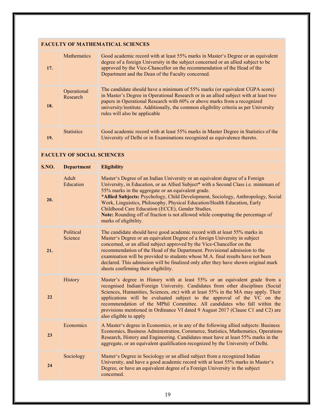## FACULTY OF MATHEMATICAL SCIENCES

| 17. | <b>Mathematics</b>      | Good academic record with at least 55% marks in Master's Degree or an equivalent<br>degree of a foreign University in the subject concerned or an allied subject to be<br>approved by the Vice-Chancellor on the recommendation of the Head of the<br>Department and the Dean of the Faculty concerned.                                                                   |
|-----|-------------------------|---------------------------------------------------------------------------------------------------------------------------------------------------------------------------------------------------------------------------------------------------------------------------------------------------------------------------------------------------------------------------|
| 18. | Operational<br>Research | The candidate should have a minimum of 55% marks (or equivalent CGPA score)<br>in Master's Degree in Operational Research or in an allied subject with at least two<br>papers in Operational Research with 60% or above marks from a recognized<br>university/institute. Additionally, the common eligibility criteria as per University<br>rules will also be applicable |
| 19. | <b>Statistics</b>       | Good academic record with at least 55% marks in Master Degree in Statistics of the<br>University of Delhi or in Examinations recognized as equivalence thereto.                                                                                                                                                                                                           |

#### FACULTY OF SOCIAL SCIENCES

| <b>S.NO.</b> | <b>Department</b>    | <b>Eligibility</b>                                                                                                                                                                                                                                                                                                                                                                                                                                                                                                                                         |
|--------------|----------------------|------------------------------------------------------------------------------------------------------------------------------------------------------------------------------------------------------------------------------------------------------------------------------------------------------------------------------------------------------------------------------------------------------------------------------------------------------------------------------------------------------------------------------------------------------------|
| 20.          | Adult<br>Education   | Master's Degree of an Indian University or an equivalent degree of a Foreign<br>University, in Education, or an Allied Subject* with a Second Class i.e. minimum of<br>55% marks in the aggregate or an equivalent grade.<br>*Allied Subjects: Psychology, Child Development, Sociology, Anthropology, Social<br>Work, Linguistics, Philosophy, Physical Education/Health Education, Early<br>Childhood Care Education (ECCE), Gender Studies.<br>Note: Rounding off of fraction is not allowed while computing the percentage of<br>marks of eligibility. |
| 21.          | Political<br>Science | The candidate should have good academic record with at least 55% marks in<br>Master's Degree or an equivalent Degree of a foreign University in subject<br>concerned, or an allied subject approved by the Vice-Chancellor on the<br>recommendation of the Head of the Department. Provisional admission to the<br>examination will be provided to students whose M.A. final results have not been<br>declared. This admission will be finalized only after they have shown original mark<br>sheets confirming their eligibility.                          |
| 22           | History              | Master's degree in History with at least 55% or an equivalent grade from a<br>recognised Indian/Foreign University. Candidates from other disciplines (Social<br>Sciences, Humanities, Sciences, etc) with at least 55% in the MA may apply. Their<br>applications will be evaluated subject to the approval of the VC on the<br>recommendation of the MPhil Committee. All candidates who fall within the<br>provisions mentioned in Ordinance VI dated 9 August 2017 (Clause C1 and C2) are<br>also eligible to apply                                    |
| 23           | Economics            | A Master's degree in Economics, or in any of the following allied subjects: Business<br>Economics, Business Administration, Commerce, Statistics, Mathematics, Operations<br>Research, History and Engineering. Candidates must have at least 55% marks in the<br>aggregate, or an equivalent qualification recognized by the University of Delhi.                                                                                                                                                                                                         |
| 24           | Sociology            | Master's Degree in Sociology or an allied subject from a recognized Indian<br>University, and have a good academic record with at least 55% marks in Master's<br>Degree, or have an equivalent degree of a Foreign University in the subject<br>concerned.                                                                                                                                                                                                                                                                                                 |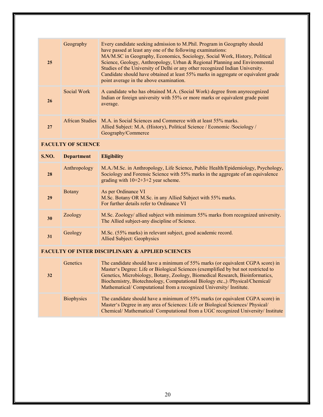| 25 | Geography       | Every candidate seeking admission to M.Phil. Program in Geography should<br>have passed at least any one of the following examinations:<br>MA/M.SC in Geography, Economics, Sociology, Social Work, History, Political<br>Science, Geology, Anthropology, Urban & Regional Planning and Environmental<br>Studies of the University of Delhi or any other recognized Indian University.<br>Candidate should have obtained at least 55% marks in aggregate or equivalent grade<br>point average in the above examination. |
|----|-----------------|-------------------------------------------------------------------------------------------------------------------------------------------------------------------------------------------------------------------------------------------------------------------------------------------------------------------------------------------------------------------------------------------------------------------------------------------------------------------------------------------------------------------------|
| 26 | Social Work     | A candidate who has obtained M.A. (Social Work) degree from any recognized<br>Indian or foreign university with 55% or more marks or equivalent grade point<br>average.                                                                                                                                                                                                                                                                                                                                                 |
| 27 | African Studies | M.A. in Social Sciences and Commerce with at least 55% marks.<br>Allied Subject: M.A. (History), Political Science / Economic /Sociology /<br>Geography/Commerce                                                                                                                                                                                                                                                                                                                                                        |

#### FACULTY OF SCIENCE

| <b>S.NO.</b> | <b>Department</b> | <b>Eligibility</b>                                                                                                                                                                                            |
|--------------|-------------------|---------------------------------------------------------------------------------------------------------------------------------------------------------------------------------------------------------------|
| 28           | Anthropology      | M.A./M.Sc. in Anthropology, Life Science, Public Health/Epidemiology, Psychology,<br>Sociology and Forensic Science with 55% marks in the aggregate of an equivalence<br>grading with $10+2+3+2$ year scheme. |
| 29           | <b>B</b> otany    | As per Ordinance VI<br>M.Sc. Botany OR M.Sc. in any Allied Subject with 55% marks.<br>For further details refer to Ordinance VI                                                                               |
| 30           | Zoology           | M.Sc. Zoology/ allied subject with minimum 55% marks from recognized university.<br>The Allied subject-any discipline of Science.                                                                             |
| 31           | Geology           | M.Sc. (55% marks) in relevant subject, good academic record.<br><b>Allied Subject: Geophysics</b>                                                                                                             |

## FACULTY OF INTER DISCIPLINARY & APPLIED SCIENCES

| 32 | <b>Genetics</b>   | The candidate should have a minimum of 55% marks (or equivalent CGPA score) in<br>Master's Degree: Life or Biological Sciences (exemplified by but not restricted to<br>Genetics, Microbiology, Botany, Zoology, Biomedical Research, Bioinformatics,<br>Biochemistry, Biotechnology, Computational Biology etc., ) /Physical/Chemical/<br>Mathematical/Computational from a recognized University/Institute. |
|----|-------------------|---------------------------------------------------------------------------------------------------------------------------------------------------------------------------------------------------------------------------------------------------------------------------------------------------------------------------------------------------------------------------------------------------------------|
|    | <b>Biophysics</b> | The candidate should have a minimum of 55% marks (or equivalent CGPA score) in<br>Master's Degree in any area of Sciences: Life or Biological Sciences/ Physical/<br>Chemical/Mathematical/Computational from a UGC recognized University/Institute                                                                                                                                                           |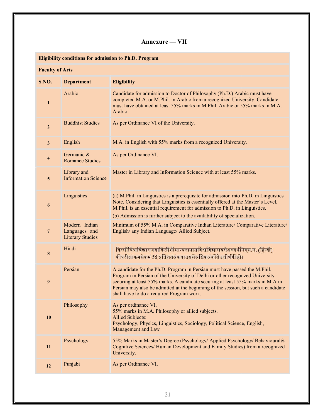## Annexure — VII

|                         |                                                           | <b>Eligibility conditions for admission to Ph.D. Program</b>                                                                                                                                                                                                                                                                                                                   |
|-------------------------|-----------------------------------------------------------|--------------------------------------------------------------------------------------------------------------------------------------------------------------------------------------------------------------------------------------------------------------------------------------------------------------------------------------------------------------------------------|
| <b>Faculty of Arts</b>  |                                                           |                                                                                                                                                                                                                                                                                                                                                                                |
| S.NO.                   | <b>Department</b>                                         | <b>Eligibility</b>                                                                                                                                                                                                                                                                                                                                                             |
| $\mathbf{1}$            | Arabic                                                    | Candidate for admission to Doctor of Philosophy (Ph.D.) Arabic must have<br>completed M.A. or M.Phil. in Arabic from a recognized University. Candidate<br>must have obtained at least 55% marks in M.Phil. Arabic or 55% marks in M.A.<br>Arabic                                                                                                                              |
| $\mathbf{2}$            | <b>Buddhist Studies</b>                                   | As per Ordinance VI of the University.                                                                                                                                                                                                                                                                                                                                         |
| $\overline{\mathbf{3}}$ | English                                                   | M.A. in English with 55% marks from a recognized University.                                                                                                                                                                                                                                                                                                                   |
| 4                       | Germanic &<br><b>Romance Studies</b>                      | As per Ordinance VI.                                                                                                                                                                                                                                                                                                                                                           |
| 5                       | Library and<br><b>Information Science</b>                 | Master in Library and Information Science with at least 55% marks.                                                                                                                                                                                                                                                                                                             |
| 6                       | Linguistics                                               | (a) M.Phil. in Linguistics is a prerequisite for admission into Ph.D. in Linguistics<br>Note. Considering that Linguistics is essentially offered at the Master's Level,<br>M.Phil. is an essential requirement for admission to Ph.D. in Linguistics.<br>(b) Admission is further subject to the availability of specialization.                                              |
| $\overline{7}$          | Modern Indian<br>Languages and<br><b>Literary Studies</b> | Minimum of 55% M.A. in Comparative Indian Literature/ Comparative Literature/<br>English/ any Indian Language/ Allied Subject.                                                                                                                                                                                                                                                 |
| 8                       | Hindi                                                     | दिल्लीविश्वविद्यालययाकिसीभीमान्यताप्राप्तविश्वविद्यालयसेअभ्यर्थनिएम.ए. (हिन्दी)<br>कीपरीक्षाकमसेकम 55 प्रतिशतअंकयाउससेअधिकअंकोंसेउत्तीर्णकीहो।                                                                                                                                                                                                                                 |
| 9                       | Persian                                                   | A candidate for the Ph.D. Program in Persian must have passed the M.Phil.<br>Program in Persian of the University of Delhi or other recognized University<br>securing at least 55% marks. A candidate securing at least 55% marks in M.A in<br>Persian may also be admitted at the beginning of the session, but such a candidate<br>shall have to do a required Program work. |
| 10                      | Philosophy                                                | As per ordinance VI.<br>55% marks in M.A. Philosophy or allied subjects.<br><b>Allied Subjects:</b><br>Psychology, Physics, Linguistics, Sociology, Political Science, English,<br>Management and Law                                                                                                                                                                          |
| 11                      | Psychology                                                | 55% Marks in Master's Degree (Psychology/ Applied Psychology/ Behavioural&<br>Cognitive Sciences/ Human Development and Family Studies) from a recognized<br>University.                                                                                                                                                                                                       |
| 12                      | Punjabi                                                   | As per Ordinance VI.                                                                                                                                                                                                                                                                                                                                                           |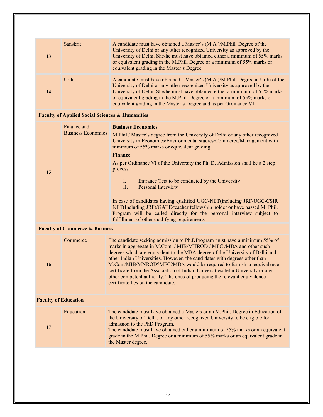| 13                          | Sanskrit                                                   | A candidate must have obtained a Master's (M.A.)/M.Phil. Degree of the<br>University of Delhi or any other recognized University as approved by the<br>University of Delhi. She/he must have obtained either a minimum of 55% marks<br>or equivalent grading in the M.Phil. Degree or a minimum of 55% marks or<br>equivalent grading in the Master's Degree.                                                                                                                                                                                                                                                                                                                                                                      |
|-----------------------------|------------------------------------------------------------|------------------------------------------------------------------------------------------------------------------------------------------------------------------------------------------------------------------------------------------------------------------------------------------------------------------------------------------------------------------------------------------------------------------------------------------------------------------------------------------------------------------------------------------------------------------------------------------------------------------------------------------------------------------------------------------------------------------------------------|
| 14                          | Urdu                                                       | A candidate must have obtained a Master's (M.A.)/M.Phil. Degree in Urdu of the<br>University of Delhi or any other recognized University as approved by the<br>University of Delhi. She/he must have obtained either a minimum of 55% marks<br>or equivalent grading in the M.Phil. Degree or a minimum of 55% marks or<br>equivalent grading in the Master's Degree and as per Ordinance VI.                                                                                                                                                                                                                                                                                                                                      |
|                             | <b>Faculty of Applied Social Sciences &amp; Humanities</b> |                                                                                                                                                                                                                                                                                                                                                                                                                                                                                                                                                                                                                                                                                                                                    |
| 15                          | Finance and<br><b>Business Economics</b>                   | <b>Business Economics</b><br>M.Phil / Master's degree from the University of Delhi or any other recognized<br>University in Economics/Environmental studies/Commerce/Management with<br>minimum of 55% marks or equivalent grading.<br><b>Finance</b><br>As per Ordinance VI of the University the Ph. D. Admission shall be a 2 step<br>process:<br>$\mathbf{I}$ .<br>Entrance Test to be conducted by the University<br>Personal Interview<br>II.<br>In case of candidates having qualified UGC-NET(including JRF/UGC-CSIR<br>NET(Including JRF)/GATE/teacher fellowship holder or have passed M. Phil.<br>Program will be called directly for the personal interview subject to<br>fulfillment of other qualifying requirements |
|                             | <b>Faculty of Commerce &amp; Business</b>                  |                                                                                                                                                                                                                                                                                                                                                                                                                                                                                                                                                                                                                                                                                                                                    |
| 16                          | Commerce                                                   | The candidate seeking admission to Ph.DProgram must have a minimum 55% of<br>marks in aggregate in M.Com. / MIB/MHROD / MFC / MBA and other such<br>degrees which are equivalent to the MBA degree of the University of Delhi and<br>other Indian Universities. However, the candidates with degrees other than<br>M.Com/MIB/MNROD?MFC?MBA would be required to furnish an equivalence<br>certificate from the Association of Indian Universities/delhi University or any<br>other competent authority. The onus of producing the relevant equivalence<br>certificate lies on the candidate.                                                                                                                                       |
| <b>Faculty of Education</b> |                                                            |                                                                                                                                                                                                                                                                                                                                                                                                                                                                                                                                                                                                                                                                                                                                    |
| 17                          | Education                                                  | The candidate must have obtained a Masters or an M.Phil. Degree in Education of<br>the University of Delhi, or any other recognized University to be eligible for<br>admission to the PhD Program.<br>The candidate must have obtained either a minimum of 55% marks or an equivalent<br>grade in the M.Phil. Degree or a minimum of 55% marks or an equivalent grade in<br>the Master degree.                                                                                                                                                                                                                                                                                                                                     |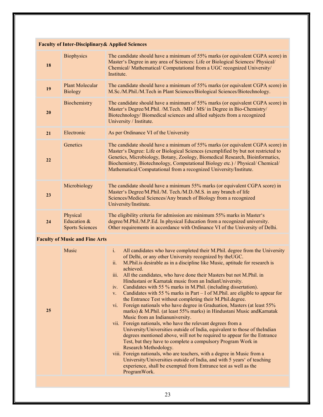|    | <b>Faculty of Inter-Disciplinary &amp; Applied Sciences</b> |                                                                                                                                                                                                                                                                                                                                                                                                               |
|----|-------------------------------------------------------------|---------------------------------------------------------------------------------------------------------------------------------------------------------------------------------------------------------------------------------------------------------------------------------------------------------------------------------------------------------------------------------------------------------------|
| 18 | <b>Biophysics</b>                                           | The candidate should have a minimum of 55% marks (or equivalent CGPA score) in<br>Master's Degree in any area of Sciences: Life or Biological Sciences/ Physical/<br>Chemical/ Mathematical/ Computational from a UGC recognized University/<br>Institute.                                                                                                                                                    |
| 19 | <b>Plant Molecular</b><br><b>Biology</b>                    | The candidate should have a minimum of 55% marks (or equivalent CGPA score) in<br>M.Sc./M.Phil./M.Tech in Plant Sciences/Biological Sciences/Biotechnology.                                                                                                                                                                                                                                                   |
| 20 | Biochemistry                                                | The candidate should have a minimum of 55% marks (or equivalent CGPA score) in<br>Master's Degree/M.Phil. /M.Tech. /MD / MS/ in Degree in Bio-Chemistry/<br>Biotechnology/Biomedical sciences and allied subjects from a recognized<br>University / Institute.                                                                                                                                                |
| 21 | Electronic                                                  | As per Ordinance VI of the University                                                                                                                                                                                                                                                                                                                                                                         |
| 22 | Genetics                                                    | The candidate should have a minimum of 55% marks (or equivalent CGPA score) in<br>Master's Degree: Life or Biological Sciences (exemplified by but not restricted to<br>Genetics, Microbiology, Botany, Zoology, Biomedical Research, Bioinformatics,<br>Biochemistry, Biotechnology, Computational Biology etc.) / Physical/ Chemical/<br>Mathematical/Computational from a recognized University/Institute. |
| 23 | Microbiology                                                | The candidate should have a minimum 55% marks (or equivalent CGPA score) in<br>Master's Degree/M.Phil./M. Tech./M.D./M.S. in any branch of life<br>Sciences/Medical Sciences/Any branch of Biology from a recognized<br>University/Institute.                                                                                                                                                                 |
| 24 | Physical<br>Education &<br><b>Sports Sciences</b>           | The eligibility criteria for admission are minimum 55% marks in Master's<br>degree/M.Phil./M.P.Ed. In physical Education from a recognized university.<br>Other requirements in accordance with Ordinance VI of the University of Delhi.                                                                                                                                                                      |

## Faculty of Music and Fine Arts

|--|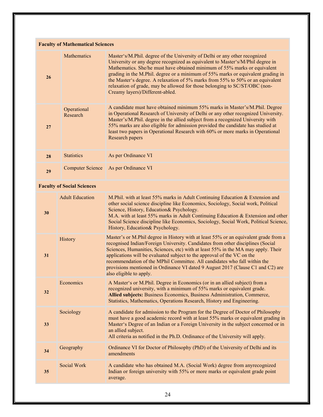| <b>Faculty of Mathematical Sciences</b> |                         |                                                                                                                                                                                                                                                                                                                                                                                                                                                                                                                                  |  |
|-----------------------------------------|-------------------------|----------------------------------------------------------------------------------------------------------------------------------------------------------------------------------------------------------------------------------------------------------------------------------------------------------------------------------------------------------------------------------------------------------------------------------------------------------------------------------------------------------------------------------|--|
| 26                                      | <b>Mathematics</b>      | Master's/M.Phil. degree of the University of Delhi or any other recognized<br>University or any degree recognized as equivalent to Master's/M/Phil degree in<br>Mathematics. She/he must have obtained minimum of 55% marks or equivalent<br>grading in the M.Phil. degree or a minimum of 55% marks or equivalent grading in<br>the Master's degree. A relaxation of 5% marks from 55% to 50% or an equivalent<br>relaxation of grade, may be allowed for those belonging to SC/ST/OBC (non-<br>Creamy layers)/Different-abled. |  |
| 27                                      | Operational<br>Research | A candidate must have obtained minimum 55% marks in Master's/M.Phil. Degree<br>in Operational Research of University of Delhi or any other recognized University.<br>Master's/M.Phil. degree in the allied subject from a recognized University with<br>55% marks are also eligible for admission provided the candidate has studied at<br>least two papers in Operational Research with 60% or more marks in Operational<br>Research papers                                                                                     |  |
| 28                                      | <b>Statistics</b>       | As per Ordinance VI                                                                                                                                                                                                                                                                                                                                                                                                                                                                                                              |  |
| 29                                      | <b>Computer Science</b> | As per Ordinance VI                                                                                                                                                                                                                                                                                                                                                                                                                                                                                                              |  |

## Faculty of Social Sciences

| 30 | <b>Adult Education</b> | M.Phil. with at least 55% marks in Adult Continuing Education & Extension and<br>other social science discipline like Economics, Sociology, Social work, Political<br>Science, History, Education& Psychology.<br>M.A. with at least 55% marks in Adult Continuing Education & Extension and other<br>Social Science discipline like Economics, Sociology, Social Work, Political Science,<br>History, Education& Psychology.                                                                                                      |
|----|------------------------|------------------------------------------------------------------------------------------------------------------------------------------------------------------------------------------------------------------------------------------------------------------------------------------------------------------------------------------------------------------------------------------------------------------------------------------------------------------------------------------------------------------------------------|
| 31 | History                | Master's or M.Phil degree in History with at least 55% or an equivalent grade from a<br>recognised Indian/Foreign University. Candidates from other disciplines (Social<br>Sciences, Humanities, Sciences, etc) with at least 55% in the MA may apply. Their<br>applications will be evaluated subject to the approval of the VC on the<br>recommendation of the MPhil Committee. All candidates who fall within the<br>provisions mentioned in Ordinance VI dated 9 August 2017 (Clause C1 and C2) are<br>also eligible to apply. |
| 32 | Economics              | A Master's or M.Phil. Degree in Economics (or in an allied subject) from a<br>recognized university, with a minimum of 55% marks or equivalent grade.<br>Allied subjects: Business Economics, Business Administration, Commerce,<br>Statistics, Mathematics, Operations Research, History and Engineering.                                                                                                                                                                                                                         |
| 33 | Sociology              | A candidate for admission to the Program for the Degree of Doctor of Philosophy<br>must have a good academic record with at least 55% marks or equivalent grading in<br>Master's Degree of an Indian or a Foreign University in the subject concerned or in<br>an allied subject.<br>All criteria as notified in the Ph.D. Ordinance of the University will apply.                                                                                                                                                                 |
| 34 | Geography              | Ordinance VI for Doctor of Philosophy (PhD) of the University of Delhi and its<br>amendments                                                                                                                                                                                                                                                                                                                                                                                                                                       |
| 35 | Social Work            | A candidate who has obtained M.A. (Social Work) degree from anyrecognized<br>Indian or foreign university with 55% or more marks or equivalent grade point<br>average.                                                                                                                                                                                                                                                                                                                                                             |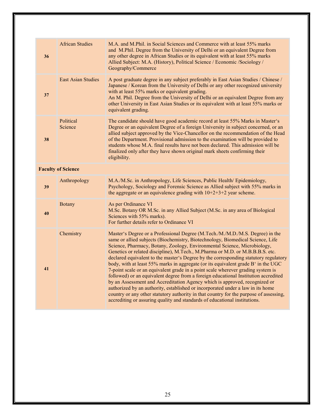| 36                        | <b>African Studies</b>    | M.A. and M.Phil. in Social Sciences and Commerce with at least 55% marks<br>and M.Phil. Degree from the University of Delhi or an equivalent Degree from<br>any other degree in African Studies or its equivalent with at least 55% marks<br>Allied Subject: M.A. (History), Political Science / Economic / Sociology /<br>Geography/Commerce                                                                                                                                                                                                                                                                                                                                                                                                                                                                                                                                                                                                                                                                                 |
|---------------------------|---------------------------|-------------------------------------------------------------------------------------------------------------------------------------------------------------------------------------------------------------------------------------------------------------------------------------------------------------------------------------------------------------------------------------------------------------------------------------------------------------------------------------------------------------------------------------------------------------------------------------------------------------------------------------------------------------------------------------------------------------------------------------------------------------------------------------------------------------------------------------------------------------------------------------------------------------------------------------------------------------------------------------------------------------------------------|
| 37                        | <b>East Asian Studies</b> | A post graduate degree in any subject preferably in East Asian Studies / Chinese /<br>Japanese / Korean from the University of Delhi or any other recognized university<br>with at least 55% marks or equivalent grading.<br>An M. Phil. Degree from the University of Delhi or an equivalent Degree from any<br>other University in East Asian Studies or its equivalent with at least 55% marks or<br>equivalent grading.                                                                                                                                                                                                                                                                                                                                                                                                                                                                                                                                                                                                   |
| 38                        | Political<br>Science      | The candidate should have good academic record at least 55% Marks in Master's<br>Degree or an equivalent Degree of a foreign University in subject concerned, or an<br>allied subject approved by the Vice-Chancellor on the recommendation of the Head<br>of the Department. Provisional admission to the examination will be provided to<br>students whose M.A. final results have not been declared. This admission will be<br>finalized only after they have shown original mark sheets confirming their<br>eligibility.                                                                                                                                                                                                                                                                                                                                                                                                                                                                                                  |
| <b>Faculty of Science</b> |                           |                                                                                                                                                                                                                                                                                                                                                                                                                                                                                                                                                                                                                                                                                                                                                                                                                                                                                                                                                                                                                               |
| 39                        | Anthropology              | M.A./M.Sc. in Anthropology, Life Sciences, Public Health/ Epidemiology,<br>Psychology, Sociology and Forensic Science as Allied subject with 55% marks in<br>the aggregate or an equivalence grading with $10+2+3+2$ year scheme.                                                                                                                                                                                                                                                                                                                                                                                                                                                                                                                                                                                                                                                                                                                                                                                             |
| 40                        | <b>Botany</b>             | As per Ordinance VI<br>M.Sc. Botany OR M.Sc. in any Allied Subject (M.Sc. in any area of Biological<br>Sciences with 55% marks).<br>For further details refer to Ordinance VI                                                                                                                                                                                                                                                                                                                                                                                                                                                                                                                                                                                                                                                                                                                                                                                                                                                 |
| 41                        | Chemistry                 | Master's Degree or a Professional Degree (M.Tech./M./M.D./M.S. Degree) in the<br>same or allied subjects (Biochemistry, Biotechnology, Biomedical Science, Life<br>Science, Pharmacy, Botany, Zoology, Environmental Science, Microbiology,<br>Genetics or related discipline), M.Tech., M.Pharma or M.D. or M.B.B.B.S. etc.<br>declared equivalent to the master's Degree by the corresponding statutory regulatory<br>body, with at least 55% marks in aggregate (or its equivalent grade B' in the UGC<br>7-point scale or an equivalent grade in a point scale wherever grading system is<br>followed) or an equivalent degree from a foreign educational Institution accredited<br>by an Assessment and Accreditation Agency which is approved, recognized or<br>authorized by an authority, established or incorporated under a law in its home<br>country or any other statutory authority in that country for the purpose of assessing,<br>accrediting or assuring quality and standards of educational institutions. |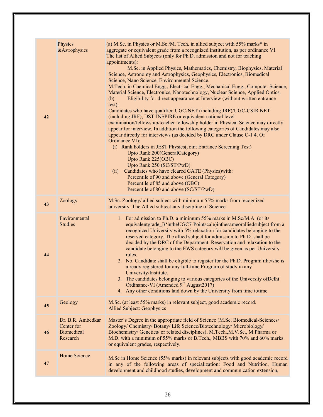| 42 | Physics<br>& Astrophysics                                        | (a) M.Sc. in Physics or M.Sc./M. Tech. in allied subject with 55% marks* in<br>aggregate or equivalent grade from a recognized institution, as per ordinance VI.<br>The list of Allied Subjects (only for Ph.D. admission and not for teaching<br>appointments):<br>M.Sc. in Applied Physics, Mathematics, Chemistry, Biophysics, Material<br>Science, Astronomy and Astrophysics, Geophysics, Electronics, Biomedical<br>Science, Nano Science, Environmental Science.<br>M.Tech. in Chemical Engg., Electrical Engg., Mechanical Engg., Computer Science,<br>Material Science, Electronics, Nanotechnology, Nuclear Science, Applied Optics.<br>Eligibility for direct appearance at Interview (without written entrance<br>(b)<br>test):<br>Candidates who have qualified UGC-NET (including JRF)/UGC-CSIR NET<br>(including JRF), DST-INSPIRE or equivalent national level<br>examination/fellowship/teacher fellowship holder in Physical Science may directly<br>appear for interview. In addition the following categories of Candidates may also<br>appear directly for interviews (as decided by DRC under Clause C-1 4. Of<br>Ordinance VI):<br>(i) Rank holders in JEST Physics (Joint Entrance Screening Test)<br>Upto Rank 200(GeneralCategory)<br>Upto Rank 225(OBC)<br>Upto Rank 250 (SC/ST/PwD)<br>Candidates who have cleared GATE (Physics) with:<br>(ii)<br>Percentile of 90 and above (General Category)<br>Percentile of 85 and above (OBC)<br>Percentile of 80 and above (SC/ST/PwD) |
|----|------------------------------------------------------------------|------------------------------------------------------------------------------------------------------------------------------------------------------------------------------------------------------------------------------------------------------------------------------------------------------------------------------------------------------------------------------------------------------------------------------------------------------------------------------------------------------------------------------------------------------------------------------------------------------------------------------------------------------------------------------------------------------------------------------------------------------------------------------------------------------------------------------------------------------------------------------------------------------------------------------------------------------------------------------------------------------------------------------------------------------------------------------------------------------------------------------------------------------------------------------------------------------------------------------------------------------------------------------------------------------------------------------------------------------------------------------------------------------------------------------------------------------------------------------------------------------------|
| 43 | Zoology                                                          | M.Sc. Zoology/ allied subject with minimum 55% marks from recognized<br>university. The Allied subject-any discipline of Science.                                                                                                                                                                                                                                                                                                                                                                                                                                                                                                                                                                                                                                                                                                                                                                                                                                                                                                                                                                                                                                                                                                                                                                                                                                                                                                                                                                          |
| 44 | Environmental<br><b>Studies</b>                                  | 1. For admission to Ph.D. a minimum 55% marks in M.Sc/M.A. (or its<br>equivalentgrade_B'intheUGC7-Pointscale)inthesameoralliedsubject from a<br>recognized University with 5% relaxation for candidates belonging to the<br>reserved category. The allied subject for admission to Ph.D. shall be<br>decided by the DRC of the Department. Reservation and relaxation to the<br>candidate belonging to the EWS category will be given as per University<br>rules.<br>2. No. Candidate shall be eligible to register for the Ph.D. Program ifhe/she is<br>already registered for any full-time Program of study in any<br>University/Institute.<br>3. The candidates belonging to various categories of the University of Delhi<br>Ordinance-VI (Amended 9 <sup>th</sup> August2017)<br>4. Any other conditions laid down by the University from time totime                                                                                                                                                                                                                                                                                                                                                                                                                                                                                                                                                                                                                                                |
| 45 | Geology                                                          | M.Sc. (at least 55% marks) in relevant subject, good academic record.<br><b>Allied Subject: Geophysics</b>                                                                                                                                                                                                                                                                                                                                                                                                                                                                                                                                                                                                                                                                                                                                                                                                                                                                                                                                                                                                                                                                                                                                                                                                                                                                                                                                                                                                 |
| 46 | Dr. B.R. Ambedkar<br>Center for<br><b>Biomedical</b><br>Research | Master's Degree in the appropriate field of Science (M.Sc. Biomedical-Sciences/<br>Zoology/ Chemistry/ Botany/ Life Science/Biotechnology/ Microbiology/<br>Biochemistry/ Genetics/ or related disciplines), M.Tech., M.V.Sc., M.Pharma or<br>M.D. with a minimum of 55% marks or B.Tech., MBBS with 70% and 60% marks<br>or equivalent grades, respectively.                                                                                                                                                                                                                                                                                                                                                                                                                                                                                                                                                                                                                                                                                                                                                                                                                                                                                                                                                                                                                                                                                                                                              |
| 47 | Home Science                                                     | M.Sc in Home Science (55% marks) in relevant subjects with good academic record<br>in any of the following areas of specialization: Food and Nutrition, Human<br>development and childhood studies, development and communication extension,                                                                                                                                                                                                                                                                                                                                                                                                                                                                                                                                                                                                                                                                                                                                                                                                                                                                                                                                                                                                                                                                                                                                                                                                                                                               |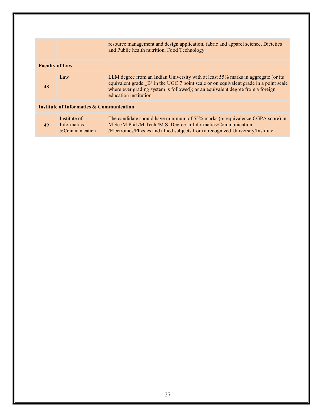|                                                     |                                                      | resource management and design application, fabric and apparel science, Dietetics<br>and Public health nutrition, Food Technology.                                                                                                                                                    |
|-----------------------------------------------------|------------------------------------------------------|---------------------------------------------------------------------------------------------------------------------------------------------------------------------------------------------------------------------------------------------------------------------------------------|
| <b>Faculty of Law</b>                               |                                                      |                                                                                                                                                                                                                                                                                       |
| 48                                                  | Law                                                  | LLM degree from an Indian University with at least 55% marks in aggregate (or its<br>equivalent grade B' in the UGC 7 point scale or on equivalent grade in a point scale<br>where ever grading system is followed); or an equivalent degree from a foreign<br>education institution. |
| <b>Institute of Informatics &amp; Communication</b> |                                                      |                                                                                                                                                                                                                                                                                       |
| 49                                                  | Institute of<br><b>Informatics</b><br>&Communication | The candidate should have minimum of 55% marks (or equivalence CGPA score) in<br>M.Sc./M.Phil./M.Tech./M.S. Degree in Informatics/Communication<br>/Electronics/Physics and allied subjects from a recognized University/Institute.                                                   |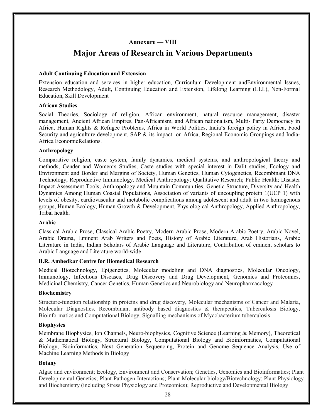## Annexure — VIII

## Major Areas of Research in Various Departments

#### Adult Continuing Education and Extension

Extension education and services in higher education, Curriculum Development andEnvironmental Issues, Research Methodology, Adult, Continuing Education and Extension, Lifelong Learning (LLL), Non-Formal Education, Skill Development

#### African Studies

Social Theories, Sociology of religion, African environment, natural resource management, disaster management, Ancient African Empires, Pan-Africanism, and African nationalism, Multi- Party Democracy in Africa, Human Rights & Refugee Problems, Africa in World Politics, India's foreign policy in Africa, Food Security and agriculture development, SAP & its impact on Africa, Regional Economic Groupings and India-Africa EconomicRelations.

#### Anthropology

Comparative religion, caste system, family dynamics, medical systems, and anthropological theory and methods, Gender and Women's Studies, Caste studies with special interest in Dalit studies, Ecology and Environment and Border and Margins of Society, Human Genetics, Human Cytogenetics, Recombinant DNA Technology, Reproductive Immunology, Medical Anthropology; Qualitative Research; Public Health; Disaster Impact Assessment Tools; Anthropology and Mountain Communities, Genetic Structure, Diversity and Health Dynamics Among Human Coastal Populations, Association of variants of uncoupling protein 1(UCP 1) with levels of obesity, cardiovascular and metabolic complications among adolescent and adult in two homogenous groups, Human Ecology, Human Growth & Development, Physiological Anthropology, Applied Anthropology, Tribal health.

#### Arabic

Classical Arabic Prose, Classical Arabic Poetry, Modern Arabic Prose, Modern Arabic Poetry, Arabic Novel, Arabic Drama, Eminent Arab Writers and Poets, History of Arabic Literature, Arab Historians, Arabic Literature in India, Indian Scholars of Arabic Language and Literature, Contribution of eminent scholars to Arabic Language and Literature world-wide

#### B.R. Ambedkar Centre for Biomedical Research

Medical Biotechnology, Epigenetics, Molecular modeling and DNA diagnostics, Molecular Oncology, Immunology, Infectious Diseases, Drug Discovery and Drug Development, Genomics and Proteomics, Medicinal Chemistry, Cancer Genetics, Human Genetics and Neurobiology and Neuropharmacology

#### Biochemistry

Structure-function relationship in proteins and drug discovery, Molecular mechanisms of Cancer and Malaria, Molecular Diagnostics, Recombinant antibody based diagnostics & therapeutics, Tuberculosis Biology, Bioinformatics and Computational Biology, Signalling mechanisms of Mycobacterium tuberculosis

#### **Biophysics**

Membrane Biophysics, Ion Channels, Neuro-biophysics, Cognitive Science (Learning & Memory), Theoretical & Mathematical Biology, Structural Biology, Computational Biology and Bioinformatics, Computational Biology, Bioinformatics, Next Generation Sequencing, Protein and Genome Sequence Analysis, Use of Machine Learning Methods in Biology

#### Botany

Algae and environment; Ecology, Environment and Conservation; Genetics, Genomics and Bioinformatics; Plant Developmental Genetics; Plant-Pathogen Interactions; Plant Molecular biology/Biotechnology; Plant Physiology and Biochemistry (including Stress Physiology and Proteomics); Reproductive and Developmental Biology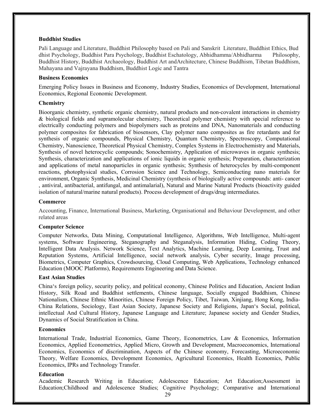#### Buddhist Studies

Pali Language and Literature, Buddhist Philosophy based on Pali and Sanskrit Literature, Buddhist Ethics, Bud dhist Psychology, Buddhist Para Psychology, Buddhist Eschatology, Abhidhamma/Abhidharma Philosophy, Buddhist History, Buddhist Archaeology, Buddhist Art and Architecture, Chinese Buddhism, Tibetan Buddhism, Mahayana and Vajrayana Buddhism, Buddhist Logic and Tantra

#### Business Economics

Emerging Policy Issues in Business and Economy, Industry Studies, Economics of Development, International Economics, Regional Economic Development.

#### **Chemistry**

Bioorganic chemistry, synthetic organic chemistry, natural products and non-covalent interactions in chemistry & biological fields and supramolecular chemistry, Theoretical polymer chemistry with special reference to electrically conducting polymers and biopolymers such as proteins and DNA, Nanomaterials and conducting polymer composites for fabrication of biosensors, Clay polymer nano composites as fire retardants and for synthesis of organic compounds, Physical Chemistry, Quantum Chemistry, Spectroscopy, Computational Chemistry, Nanoscience, Theoretical Physical Chemistry, Complex Systems in Electrochemistry and Materials, Synthesis of novel heterocyclic compounds; Sonochemistry, Application of microwaves in organic synthesis; Synthesis, characterization and applications of ionic liquids in organic synthesis; Preparation, characterization and applications of metal nanoparticles in organic synthesis; Synthesis of heterocycles by multi-component reactions, photophysical studies, Corrosion Science and Technology, Semiconducting nano materials for environment, Organic Synthesis, Medicinal Chemistry (synthesis of biologically active compounds: anti- cancer , antiviral, antibacterial, antifungal, and antimalarial), Natural and Marine Natural Products (bioactivity guided isolation of natural/marine natural products). Process development of drugs/drug intermediates.

#### Commerce

Accounting, Finance, International Business, Marketing, Organisational and Behaviour Development, and other related areas

#### Computer Science

Computer Networks, Data Mining, Computational Intelligence, Algorithms, Web Intelligence, Multi-agent systems, Software Engineering, Steganography and Steganalysis, Information Hiding, Coding Theory, Intelligent Data Analysis. Network Science, Text Analytics, Machine Learning, Deep Learning, Trust and Reputation Systems, Artificial Intelligence, social network analysis, Cyber security, Image processing, Biometrics, Computer Graphics, Crowdsourcing, Cloud Computing, Web Applications, Technology enhanced Education (MOOC Platforms), Requirements Engineering and Data Science.

#### East Asian Studies

China's foreign policy, security policy, and political economy, Chinese Politics and Education, Ancient Indian History, Silk Road and Buddhist settlements, Chinese language, Socially engaged Buddhism, Chinese Nationalism, Chinese Ethnic Minorities, Chinese Foreign Policy, Tibet, Taiwan, Xinjiang, Hong Kong, India-China Relations, Sociology, East Asian Society, Japanese Society and Religions, Japan's Social, political, intellectual And Cultural History, Japanese Language and Literature; Japanese society and Gender Studies, Dynamics of Social Stratification in China.

#### **Economics**

International Trade, Industrial Economics, Game Theory, Econometrics, Law & Economics, Information Economics, Applied Econometrics, Applied Micro, Growth and Development, Macroeconomics, International Economics, Economics of discrimination, Aspects of the Chinese economy, Forecasting, Microeconomic Theory, Welfare Economics, Development Economics, Agricultural Economics, Health Economics, Public Economics, IPRs and Technology Transfer.

#### Education

Academic Research Writing in Education; Adolescence Education; Art Education;Assessment in Education;Childhood and Adolescence Studies; Cognitive Psychology; Comparative and International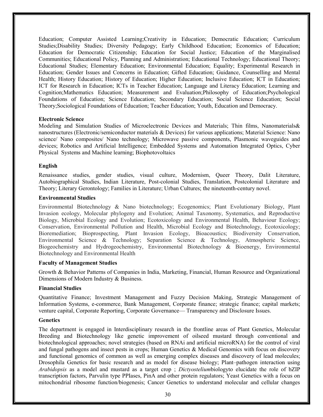Education; Computer Assisted Learning;Creativity in Education; Democratic Education; Curriculum Studies;Disability Studies; Diversity Pedagogy; Early Childhood Education; Economics of Education; Education for Democratic Citizenship; Education for Social Justice; Education of the Marginalised Communities; Educational Policy, Planning and Administration; Educational Technology; Educational Theory; Educational Studies; Elementary Education; Environmental Education; Equality; Experimental Research in Education; Gender Issues and Concerns in Education; Gifted Education; Guidance, Counselling and Mental Health; History Education; History of Education; Higher Education; Inclusive Education; ICT in Education; ICT for Research in Education; ICTs in Teacher Education; Language and Literacy Education; Learning and Cognition;Mathematics Education; Measurement and Evaluation;Philosophy of Education;Psychological Foundations of Education; Science Education; Secondary Education; Social Science Education; Social Theory;Sociological Foundations of Education; Teacher Education; Youth, Education and Democracy.

#### Electronic Science

Modeling and Simulation Studies of Microelectronic Devices and Materials; Thin films, Nanomaterials& nanostructures (Electronic/semiconductor materials & Devices) for various applications; Material Science: Nano science/ Nano composites/ Nano technology; Microwave passive components, Plasmonic waveguides and devices; Robotics and Artificial Intelligence; Embedded Systems and Automation Integrated Optics, Cyber Physical Systems and Machine learning; Biophotovoltaics

#### English

Renaissance studies, gender studies, visual culture, Modernism, Queer Theory, Dalit Literature, Autobiographical Studies, Indian Literature, Post-colonial Studies, Translation, Postcolonial Literature and Theory; Literary Gerontology; Families in Literature; Urban Cultures; the nineteenth-century novel.

#### Environmental Studies

Environmental Biotechnology & Nano biotechnology; Ecogenomics; Plant Evolutionary Biology, Plant Invasion ecology, Molecular phylogeny and Evolution; Animal Taxonomy, Systematics, and Reproductive Biology, Microbial Ecology and Evolution; Ecotoxicology and Environmental Health, Behaviour Ecology; Conservation, Environmental Pollution and Health, Microbial Ecology and Biotechnology, Ecotoxicology; Bioremediation; Bioprospecting, Plant Invasion Ecology, Bioacoustics; Biodiversity Conservation, Environmental Science & Technology; Separation Science & Technology, Atmospheric Science, Biogeochemistry and Hydrogeochemistry, Environmental Biotechnology & Bioenergy, Environmental Biotechnology and Environmental Health

#### Faculty of Management Studies

Growth & Behavior Patterns of Companies in India, Marketing, Financial, Human Resource and Organizational Dimensions of Modern Industry & Business.

#### Financial Studies

Quantitative Finance; Investment Management and Fuzzy Decision Making, Strategic Management of Information Systems, e-commerce, Bank Management, Corporate finance; strategic finance; capital markets; venture capital, Corporate Reporting, Corporate Governance— Transparency and Disclosure Issues.

#### **Genetics**

The department is engaged in Interdisciplinary research in the frontline areas of Plant Genetics, Molecular Breeding and Biotechnology like genetic improvement of oilseed mustard through conventional and biotechnological approaches; novel strategies (based on RNAi and artificial microRNA) for the control of viral and fungal pathogens and insect pests in crops; Human Genetics & Medical Genomics with focus on discovery and functional genomics of common as well as emerging complex diseases and discovery of lead molecules; Drosophila Genetics for basic research and as model for disease biology; Plant–pathogen interaction using Arabidopsis as a model and mustard as a target crop ; Dictyosteliumbiologyto elucidate the role of bZIP transcription factors, Parvulin type PPIases, PinA and other protein regulators; Yeast Genetics with a focus on mitochondrial ribosome function/biogenesis; Cancer Genetics to understand molecular and cellular changes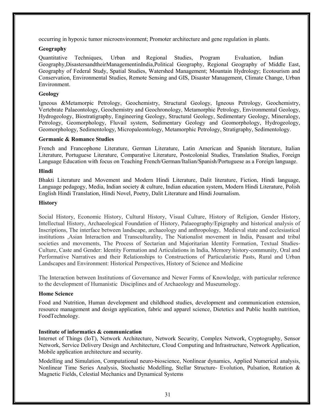occurring in hypoxic tumor microenvironment; Promoter architecture and gene regulation in plants.

#### Geography

Quantitative Techniques, Urban and Regional Studies, Program Evaluation, Indian Geography,DisastersandtheirManagementinIndia,Political Geography, Regional Geography of Middle East, Geography of Federal Study, Spatial Studies, Watershed Management; Mountain Hydrology; Ecotourism and Conservation, Environmental Studies, Remote Sensing and GIS, Disaster Management, Climate Change, Urban Environment.

#### Geology

Igneous &Metamorpic Petrology, Geochemistry, Structural Geology, Igneous Petrology, Geochemistry, Vertebrate Palaeontology, Geochemistry and Geochronology, Metamorphic Petrology, Environmental Geology, Hydrogeology, Biostratigraphy, Engineering Geology, Structural Geology, Sedimentary Geology, Mineralogy, Petrology, Geomorphology, Fluvail system, Sedimentary Geology and Geomorphology, Hydrogeology, Geomorphology, Sedimentology, Micropaleontology, Metamorphic Petrology, Stratigraphy, Sedimentology.

#### Germanic & Romance Studies

French and Francophone Literature, German Literature, Latin American and Spanish literature, Italian Literature, Portuguese Literature, Comparative Literature, Postcolonial Studies, Translation Studies, Foreign Language Education with focus on Teaching French/German/Italian/Spanish/Portuguese as a Foreign language.

#### Hindi

Bhakti Literature and Movement and Modern Hindi Literature, Dalit literature, Fiction, Hindi language, Language pedagogy, Media, Indian society & culture, Indian education system, Modern Hindi Literature, Polish English Hindi Translation, Hindi Novel, Poetry, Dalit Literature and Hindi Journalism.

#### **History**

Social History, Economic History, Cultural History, Visual Culture, History of Religion, Gender History, Intellectual History, Archaeological Foundation of History, Palaeography/Epigraphy and historical analysis of Inscriptions, The interface between landscape, archaeology and anthropology, Medieval state and ecclesiastical institutions ,Asian Interaction and Transculturality, The Nationalist movement in India, Peasant and tribal societies and movements, The Process of Sectarian and Majoritarian Identity Formation, Textual Studies-Culture, Caste and Gender: Identity Formation and Articulations in India, Memory history-community, Oral and Performative Narratives and their Relationships to Constructions of Particularistic Pasts, Rural and Urban Landscapes and Environment: Historical Perspectives, History of Science and Medicine

The Interaction between Institutions of Governance and Newer Forms of Knowledge, with particular reference to the development of Humanistic Disciplines and of Archaeology and Museumology.

#### Home Science

Food and Nutrition, Human development and childhood studies, development and communication extension, resource management and design application, fabric and apparel science, Dietetics and Public health nutrition, FoodTechnology.

#### Institute of informatics & communication

Internet of Things (IoT), Network Architecture, Network Security, Complex Network, Cryptography, Sensor Network, Service Delivery Design and Architecture, Cloud Computing and Infrastructure, Network Application, Mobile application architecture and security.

Modelling and Simulation, Computational neuro-bioscience, Nonlinear dynamics, Applied Numerical analysis, Nonlinear Time Series Analysis, Stochastic Modelling, Stellar Structure- Evolution, Pulsation, Rotation & Magnetic Fields, Celestial Mechanics and Dynamical Systems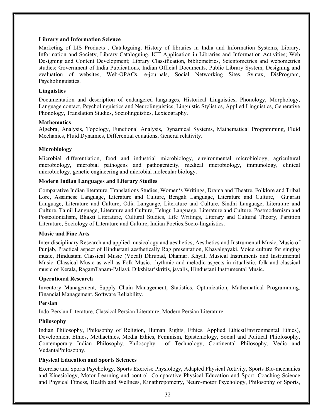#### Library and Information Science

Marketing of LIS Products , Cataloguing, History of libraries in India and Information Systems, Library, Information and Society, Library Cataloguing, ICT Application in Libraries and Information Activities; Web Designing and Content Development; Library Classification, bibliometrics, Scientometrics and webometrics studies; Government of India Publications, Indian Official Documents, Public Library System, Designing and evaluation of websites, Web-OPACs, e-journals, Social Networking Sites, Syntax, DisProgram, Psycholinguistics.

#### **Linguistics**

Documentation and description of endangered languages, Historical Linguistics, Phonology, Morphology, Language contact, Psycholinguistics and Neurolinguistics, Linguistic Stylistics, Applied Linguistics, Generative Phonology, Translation Studies, Sociolinguistics, Lexicography.

#### **Mathematics**

Algebra, Analysis, Topology, Functional Analysis, Dynamical Systems, Mathematical Programming, Fluid Mechanics, Fluid Dynamics, Differential equations, General relativity.

#### Microbiology

Microbial differentiation, food and industrial microbiology, environmental microbiology, agricultural microbiology, microbial pathogens and pathogenicity, medical microbiology, immunology, clinical microbiology, genetic engineering and microbial molecular biology.

#### Modern Indian Languages and Literary Studies

Comparative Indian literature, Translations Studies, Women's Writings, Drama and Theatre, Folklore and Tribal Lore, Assamese Language, Literature and Culture, Bengali Language, Literature and Culture, Gujarati Language, Literature and Culture, Odia Language, Literature and Culture, Sindhi Language, Literature and Culture, Tamil Language, Literature and Culture, Telugu Language, Literature and Culture, Postmodernism and Postcolonialism, Bhakti Literature, Cultural Studies, Life Writings, Literary and Cultural Theory, Partition Literature, Sociology of Literature and Culture, Indian Poetics.Socio-linguistics.

#### Music and Fine Arts

Inter disciplinary Research and applied musicology and aesthetics, Aesthetics and Instrumental Music, Music of Punjab, Practical aspect of Hindustani aesthetically Rag presentation, Khayalgayaki, Voice culture for singing music, Hindustani Classical Music (Vocal) Dhrupad, Dhamar, Khyal, Musical Instruments and Instrumental Music: Classical Music as well as Folk Music, rhythmic and melodic aspects in ritualistic, folk and classical music of Kerala, RagamTanam-Pallavi, Dikshitar'skritis, javalis, Hindustani Instrumental Music.

#### Operational Research

Inventory Management, Supply Chain Management, Statistics, Optimization, Mathematical Programming, Financial Management, Software Reliability.

#### Persian

Indo-Persian Literature, Classical Persian Literature, Modern Persian Literature

#### Philosophy

Indian Philosophy, Philosophy of Religion, Human Rights, Ethics, Applied Ethics(Environmental Ethics), Development Ethics, Methaethics, Media Ethics, Feminism, Epistemology, Social and Political Phiolosophy, Contemporary Indian Philosophy, Philosophy of Technology, Continental Philosophy, Vedic and VedantaPhilosophy.

#### Physical Education and Sports Sciences

Exercise and Sports Psychology, Sports Exercise Physiology, Adapted Physical Activity, Sports Bio-mechanics and Kinesiology, Motor Learning and control, Comparative Physical Education and Sport, Coaching Science and Physical Fitness, Health and Wellness, Kinathropometry, Neuro-motor Psychology, Philosophy of Sports,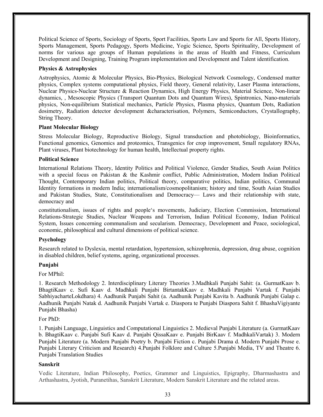Political Science of Sports, Sociology of Sports, Sport Facilities, Sports Law and Sports for All, Sports History, Sports Management, Sports Pedagogy, Sports Medicine, Yogic Science, Sports Spirituality, Development of norms for various age groups of Human populations in the areas of Health and Fitness, Curriculum Development and Designing, Training Program implementation and Development and Talent identification.

#### Physics & Astrophysics

Astrophysics, Atomic & Molecular Physics, Bio-Physics, Biological Network Cosmology, Condensed matter physics, Complex systems computational physics, Field theory, General relativity, Laser Plasma interactions, Nuclear Physics-Nuclear Structure & Reaction Dynamics, High Energy Physics, Material Science, Non-linear dynamics, , Mesoscopic Physics (Transport Quantum Dots and Quantum Wires), Spintronics, Nano-materials physics, Non-equilibrium Statistical mechanics, Particle Physics, Plasma physics, Quantum Dots, Radiation dosimetry, Radiation detector development &characterisation, Polymers, Semiconductors, Crystallography, String Theory.

#### Plant Molecular Biology

Stress Molecular Biology, Reproductive Biology, Signal transduction and photobiology, Bioinformatics, Functional genomics, Genomics and proteomics, Transgenics for crop improvement, Small regulatory RNAs, Plant viruses, Plant biotechnology for human health, Intellectual property rights.

#### Political Science

International Relations Theory, Identity Politics and Political Violence, Gender Studies, South Asian Politics with a special focus on Pakistan & the Kashmir conflict, Public Administration, Modern Indian Political Thought, Contemporary Indian politics, Political theory, comparative politics, Indian politics, Communal Identity formations in modern India; internationalism/cosmopolitanism; history and time, South Asian Studies and Pakistan Studies, State, Constitutionalism and Democracy— Laws and their relationship with state, democracy and

constitutionalism, issues of rights and people's movements, Judiciary, Election Commission, International Relations-Strategic Studies, Nuclear Weapons and Terrorism, Indian Political Economy, Indian Political System, Issues concerning communalism and secularism. Democracy, Development and Peace, sociological, economic, philosophical and cultural dimensions of political science.

#### Psychology

Research related to Dyslexia, mental retardation, hypertension, schizophrenia, depression, drug abuse, cognition in disabled children, belief systems, ageing, organizational processes.

#### Punjabi

For MPhil:

1. Research Methodology 2. Interdisciplinary Literary Theories 3.Madhkali Punjabi Sahit: (a. GurmatKaav b. BhagtiKaav c. Sufi Kaav d. Madhkali Punjabi BirtantakKaav e. Madhkali Punjabi Vartak f. Punjabi SabhiyacharteLokdhara) 4. Aadhunik Punjabi Sahit (a. Aadhunik Punjabi Kavita b. Aadhunik Punjabi Galap c. Aadhunik Punjabi Natak d. Aadhunik Punjabi Vartak e. Diaspora te Punjabi Diaspora Sahit f. BhashaVigiyante Punjabi Bhasha)

For PhD:

1. Punjabi Language, Linguistics and Computational Linguistics 2. Medieval Punjabi Literature (a. GurmatKaav b. BhagtiKaav c. Punjabi Sufi Kaav d. Punjabi QissaKaav e. Punjabi BirKaav f. MadhkaliVartak) 3. Modern Punjabi Literature (a. Modern Punjabi Poetry b. Punjabi Fiction c. Punjabi Drama d. Modern Punjabi Prose e. Punjabi Literary Criticism and Research) 4.Punjabi Folklore and Culture 5.Punjabi Media, TV and Theatre 6. Punjabi Translation Studies

#### Sanskrit

Vedic Literature, Indian Philosophy, Poetics, Grammer and Linguistics, Epigraphy, Dharmashastra and Arthashastra, Jyotish, Puranetihas, Sanskrit Literature, Modern Sanskrit Literature and the related areas.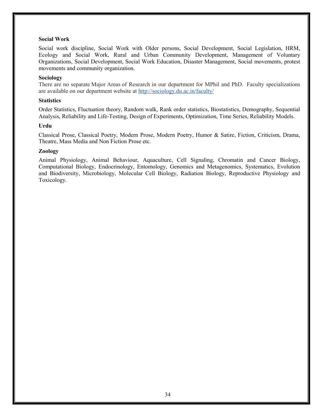#### Social Work

Social work discipline, Social Work with Older persons, Social Development, Social Legislation, HRM, Ecology and Social Work, Rural and Urban Community Development, Management of Voluntary Organizations, Social Development, Social Work Education, Disaster Management, Social movements, protest movements and community organization.

#### Sociology

There are no separate Major Areas of Research in our department for MPhil and PhD. Faculty specializations are available on our department website at http://sociology.du.ac.in/faculty/

#### **Statistics**

Order Statistics, Fluctuation theory, Random walk, Rank order statistics, Biostatistics, Demography, Sequential Analysis, Reliability and Life-Testing, Design of Experiments, Optimization, Time Series, Reliability Models.

#### Urdu

Classical Prose, Classical Poetry, Modern Prose, Modern Poetry, Humor & Satire, Fiction, Criticism, Drama, Theatre, Mass Media and Non Fiction Prose etc.

#### Zoology

Animal Physiology, Animal Behaviour, Aquaculture, Cell Signaling, Chromatin and Cancer Biology, Computational Biology, Endocrinology, Entomology, Genomics and Metagenomics, Systematics, Evolution and Biodiversity, Microbiology, Molecular Cell Biology, Radiation Biology, Reproductive Physiology and Toxicology.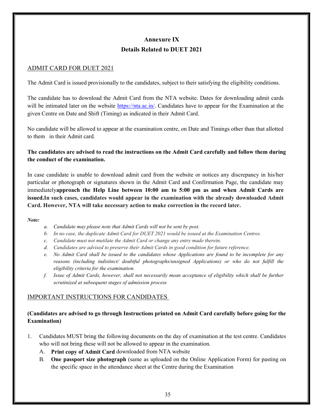## Annexure IX Details Related to DUET 2021

## ADMIT CARD FOR DUET 2021

The Admit Card is issued provisionally to the candidates, subject to their satisfying the eligibility conditions.

The candidate has to download the Admit Card from the NTA website. Dates for downloading admit cards will be intimated later on the website https://nta.ac.in/. Candidates have to appear for the Examination at the given Centre on Date and Shift (Timing) as indicated in their Admit Card.

No candidate will be allowed to appear at the examination centre, on Date and Timings other than that allotted to them in their Admit card.

## The candidates are advised to read the instructions on the Admit Card carefully and follow them during the conduct of the examination.

In case candidate is unable to download admit card from the website or notices any discrepancy in his/her particular or photograph or signatures shown in the Admit Card and Confirmation Page, the candidate may immediatelyapproach the Help Line between 10:00 am to 5:00 pm as and when Admit Cards are issued.In such cases, candidates would appear in the examination with the already downloaded Admit Card. However, NTA will take necessary action to make correction in the record later.

#### Note:

- a. Candidate may please note that Admit Cards will not be sent by post.
- b. In no case, the duplicate Admit Card for DUET 2021 would be issued at the Examination Centres.
- c. Candidate must not mutilate the Admit Card or change any entry made therein.
- d. Candidates are advised to preserve their Admit Cards in good condition for future reference.
- e. No Admit Card shall be issued to the candidates whose Applications are found to be incomplete for any reasons (including indistinct/ doubtful photographs/unsigned Applications) or who do not fulfill the eligibility criteria for the examination.
- f. Issue of Admit Cards, however, shall not necessarily mean acceptance of eligibility which shall be further scrutinized at subsequent stages of admission process

## IMPORTANT INSTRUCTIONS FOR CANDIDATES

## (Candidates are advised to go through Instructions printed on Admit Card carefully before going for the Examination)

- 1. Candidates MUST bring the following documents on the day of examination at the test centre. Candidates who will not bring these will not be allowed to appear in the examination.
	- A. Print copy of Admit Card downloaded from NTA website
	- B. One passport size photograph (same as uploaded on the Online Application Form) for pasting on the specific space in the attendance sheet at the Centre during the Examination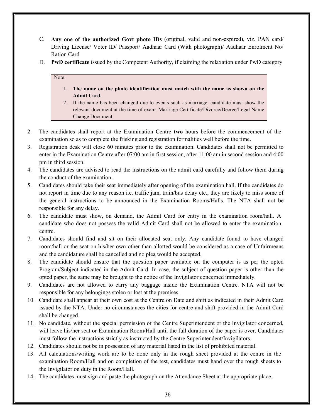- C. Any one of the authorized Govt photo IDs (original, valid and non-expired), viz. PAN card/ Driving License/ Voter ID/ Passport/ Aadhaar Card (With photograph)/ Aadhaar Enrolment No/ Ration Card
- D. PwD certificate issued by the Competent Authority, if claiming the relaxation under PwD category

## Note:

- 1. The name on the photo identification must match with the name as shown on the Admit Card.
- 2. If the name has been changed due to events such as marriage, candidate must show the relevant document at the time of exam. Marriage Certificate/Divorce/Decree/Legal Name Change Document.
- 2. The candidates shall report at the Examination Centre two hours before the commencement of the examination so as to complete the frisking and registration formalities well before the time.
- 3. Registration desk will close 60 minutes prior to the examination. Candidates shall not be permitted to enter in the Examination Centre after 07:00 am in first session, after 11:00 am in second session and 4:00 pm in third session.
- 4. The candidates are advised to read the instructions on the admit card carefully and follow them during the conduct of the examination.
- 5. Candidates should take their seat immediately after opening of the examination hall. If the candidates do not report in time due to any reason i.e. traffic jam, train/bus delay etc., they are likely to miss some of the general instructions to be announced in the Examination Rooms/Halls. The NTA shall not be responsible for any delay.
- 6. The candidate must show, on demand, the Admit Card for entry in the examination room/hall. A candidate who does not possess the valid Admit Card shall not be allowed to enter the examination centre.
- 7. Candidates should find and sit on their allocated seat only. Any candidate found to have changed room/hall or the seat on his/her own other than allotted would be considered as a case of Unfairmeans and the candidature shall be cancelled and no plea would be accepted.
- 8. The candidate should ensure that the question paper available on the computer is as per the opted Program/Subject indicated in the Admit Card. In case, the subject of question paper is other than the opted paper, the same may be brought to the notice of the Invigilator concerned immediately.
- 9. Candidates are not allowed to carry any baggage inside the Examination Centre. NTA will not be responsible for any belongings stolen or lost at the premises.
- 10. Candidate shall appear at their own cost at the Centre on Date and shift as indicated in their Admit Card issued by the NTA. Under no circumstances the cities for centre and shift provided in the Admit Card shall be changed.
- 11. No candidate, without the special permission of the Centre Superintendent or the Invigilator concerned, will leave his/her seat or Examination Room/Hall until the full duration of the paper is over. Candidates must follow the instructions strictly as instructed by the Centre Superintendent/Invigilators.
- 12. Candidates should not be in possession of any material listed in the list of prohibited material.
- 13. All calculations/writing work are to be done only in the rough sheet provided at the centre in the examination Room/Hall and on completion of the test, candidates must hand over the rough sheets to the Invigilator on duty in the Room/Hall.
- 14. The candidates must sign and paste the photograph on the Attendance Sheet at the appropriate place.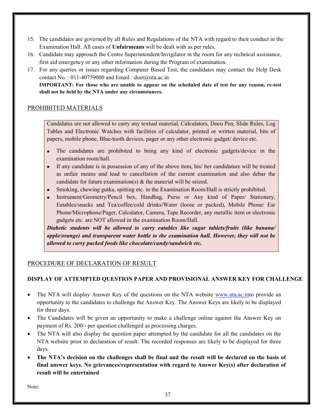- 15. The candidates are governed by all Rules and Regulations of the NTA with regard to their conduct in the Examination Hall. All cases of Unfairmeans will be dealt with as per rules.
- 16. Candidate may approach the Centre Superintendent/Invigilator in the room for any technical assistance, first aid emergency or any other information during the Program of examination.
- 17. For any queries or issues regarding Computer Based Test, the candidates may contact the Help Desk contact No.:  $011-40759000$  and Email: duet $@$ nta.ac.in

IMPORTANT: For those who are unable to appear on the scheduled date of test for any reason, re-test shall not be held by the NTA under any circumstances.

## PROHIBITED MATERIALS

Candidates are not allowed to carry any textual material, Calculators, Docu Pen, Slide Rules, Log Tables and Electronic Watches with facilities of calculator, printed or written material, bits of papers, mobile phone, Blue-tooth devices, pager or any other electronic gadget/ device etc.

- The candidates are prohibited to bring any kind of electronic gadgets/device in the examination room/hall.
- If any candidate is in possession of any of the above item, his/ her candidature will be treated as unfair means and lead to cancellation of the current examination and also debar the candidate for future examination(s) & the material will be seized.
- Smoking, chewing gutka, spitting etc. in the Examination Room/Hall is strictly prohibited.
- Instrument/Geometry/Pencil box, Handbag, Purse or Any kind of Paper/ Stationery, Eatables/snacks and Tea/coffee/cold drinks/Water (loose or packed), Mobile Phone/ Ear Phone/Microphone/Pager, Calculator, Camera, Tape Recorder, any metallic item or electronic gadgets etc. are NOT allowed in the examination Room/Hall.

Diabetic students will be allowed to carry eatables like sugar tablets/fruits (like banana/ apple/orange) and transparent water bottle to the examination hall. However, they will not be allowed to carry packed foods like chocolate/candy/sandwich etc.

## PROCEDURE OF DECLARATION OF RESULT

## DISPLAY OF ATTEMPTED QUESTION PAPER AND PROVISIONAL ANSWER KEY FOR CHALLENGE

- The NTA will display Answer Key of the questions on the NTA website www.nta.ac.into provide an opportunity to the candidates to challenge the Answer Key. The Answer Keys are likely to be displayed for three days.
- The Candidates will be given an opportunity to make a challenge online against the Answer Key on payment of Rs. 200/- per question challenged as processing charges.
- The NTA will also display the question paper attempted by the candidate for all the candidates on the NTA website prior to declaration of result. The recorded responses are likely to be displayed for three days.
- The NTA's decision on the challenges shall be final and the result will be declared on the basis of final answer keys. No grievances/representation with regard to Answer Key(s) after declaration of result will be entertained

Note: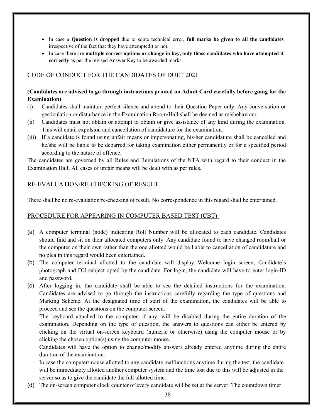- In case a Question is dropped due to some technical error, full marks be given to all the candidates irrespective of the fact that they have attemptedit or not.
- In case there are multiple correct options or change in key, only those candidates who have attempted it correctly as per the revised Answer Key to be awarded marks.

## CODE OF CONDUCT FOR THE CANDIDATES OF DUET 2021

## (Candidates are advised to go through instructions printed on Admit Card carefully before going for the Examination)

- (i) Candidates shall maintain perfect silence and attend to their Question Paper only. Any conversation or gesticulation or disturbance in the Examination Room/Hall shall be deemed as misbehaviour.
- (ii) Candidates must not obtain or attempt to obtain or give assistance of any kind during the examination. This will entail expulsion and cancellation of candidature for the examination.
- (iii) If a candidate is found using unfair means or impersonating, his/her candidature shall be cancelled and he/she will be liable to be debarred for taking examination either permanently or for a specified period according to the nature of offence.

The candidates are governed by all Rules and Regulations of the NTA with regard to their conduct in the Examination Hall. All cases of unfair means will be dealt with as per rules.

## RE-EVALUATION/RE-CHECKING OF RESULT

There shall be no re-evaluation/re-checking of result. No correspondence in this regard shall be entertained.

## PROCEDURE FOR APPEARING IN COMPUTER BASED TEST (CBT)

- (a) A computer terminal (node) indicating Roll Number will be allocated to each candidate. Candidates should find and sit on their allocated computers only. Any candidate found to have changed room/hall or the computer on their own rather than the one allotted would be liable to cancellation of candidature and no plea in this regard would been entertained.
- (b) The computer terminal allotted to the candidate will display Welcome login screen, Candidate's photograph and DU subject opted by the candidate. For login, the candidate will have to enter login-ID and password.
- (c) After logging in, the candidate shall be able to see the detailed instructions for the examination. Candidates are advised to go through the instructions carefully regarding the type of questions and Marking Scheme. At the designated time of start of the examination, the candidates will be able to proceed and see the questions on the computer screen.

The keyboard attached to the computer, if any, will be disabled during the entire duration of the examination. Depending on the type of question, the answers to questions can either be entered by clicking on the virtual on-screen keyboard (numeric or otherwise) using the computer mouse or by clicking the chosen option(s) using the computer mouse.

Candidates will have the option to change/modify answers already entered anytime during the entire duration of the examination.

In case the computer/mouse allotted to any candidate malfunctions anytime during the test, the candidate will be immediately allotted another computer system and the time lost due to this will be adjusted in the server so as to give the candidate the full allotted time.

(d) The on-screen computer clock counter of every candidate will be set at the server. The countdown timer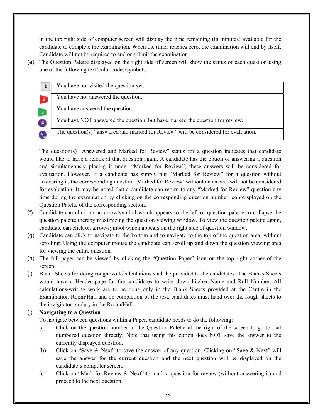in the top right side of computer screen will display the time remaining (in minutes) available for the candidate to complete the examination. When the timer reaches zero, the examination will end by itself. Candidate will not be required to end or submit the examination.

(e) The Question Palette displayed on the right side of screen will show the status of each question using one of the following text/color codes/symbols.

| $\mathbf{1}$            | You have not visited the question yet.                                              |
|-------------------------|-------------------------------------------------------------------------------------|
|                         | You have not answered the question.                                                 |
| $\overline{\mathbf{3}}$ | You have answered the question.                                                     |
| $\overline{4}$          | You have NOT answered the question, but have marked the question for review.        |
|                         | The question(s) "answered and marked for Review" will be considered for evaluation. |

The question(s) "Answered and Marked for Review" status for a question indicates that candidate would like to have a relook at that question again. A candidate has the option of answering a question and simultaneously placing it under "Marked for Review", these answers will be considered for evaluation. However, if a candidate has simply put "Marked for Review" for a question without answering it, the corresponding question 'Marked for Review' without an answer will not be considered for evaluation. It may be noted that a candidate can return to any "Marked for Review" question any time during the examination by clicking on the corresponding question number icon displayed on the Question Palette of the corresponding section.

- (f) Candidate can click on an arrow/symbol which appears to the left of question palette to collapse the question palette thereby maximizing the question viewing window. To view the question palette again, candidate can click on arrow/symbol which appears on the right side of question window.
- (g) Candidate can click to navigate to the bottom and to navigate to the top of the question area, without scrolling. Using the computer mouse the candidate can scroll up and down the question viewing area for viewing the entire question.
- (h) The full paper can be viewed by clicking the "Question Paper" icon on the top right corner of the screen.
- (i) Blank Sheets for doing rough work/calculations shall be provided to the candidates. The Blanks Sheets would have a Header page for the candidates to write down his/her Name and Roll Number. All calculations/writing work are to be done only in the Blank Sheets provided at the Centre in the Examination Room/Hall and on completion of the test, candidates must hand over the rough sheets to the invigilator on duty in the Room/Hall.

## (j) Navigating to a Question

- To navigate between questions within a Paper, candidate needs to do the following:
- (a) Click on the question number in the Question Palette at the right of the screen to go to that numbered question directly. Note that using this option does NOT save the answer to the currently displayed question.
- (b) Click on "Save & Next" to save the answer of any question. Clicking on "Save & Next" will save the answer for the current question and the next question will be displayed on the candidate's computer screen.
- (c) Click on "Mark for Review & Next" to mark a question for review (without answering it) and proceed to the next question.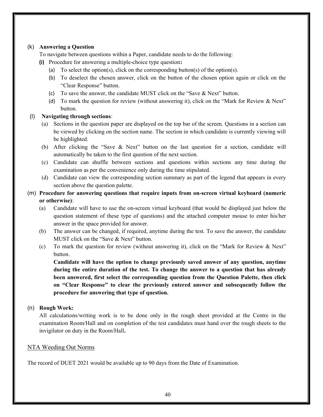#### (k) Answering a Question

To navigate between questions within a Paper, candidate needs to do the following:

- (i) Procedure for answering a multiple-choice type question:
	- (a) To select the option(s), click on the corresponding button(s) of the option(s).
	- (b) To deselect the chosen answer, click on the button of the chosen option again or click on the "Clear Response" button.
	- (c) To save the answer, the candidate MUST click on the "Save & Next" button.
	- (d) To mark the question for review (without answering it), click on the "Mark for Review & Next" button.

#### (l) Navigating through sections:

- (a) Sections in the question paper are displayed on the top bar of the screen. Questions in a section can be viewed by clicking on the section name. The section in which candidate is currently viewing will be highlighted.
- (b) After clicking the "Save & Next" button on the last question for a section, candidate will automatically be taken to the first question of the next section.
- (c) Candidate can shuffle between sections and questions within sections any time during the examination as per the convenience only during the time stipulated.
- (d) Candidate can view the corresponding section summary as part of the legend that appears in every section above the question palette.

## (m) Procedure for answering questions that require inputs from on-screen virtual keyboard (numeric or otherwise):

- (a) Candidate will have to use the on-screen virtual keyboard (that would be displayed just below the question statement of these type of questions) and the attached computer mouse to enter his/her answer in the space provided for answer.
- (b) The answer can be changed, if required, anytime during the test. To save the answer, the candidate MUST click on the "Save & Next" button.
- (c) To mark the question for review (without answering it), click on the "Mark for Review & Next" button.

Candidate will have the option to change previously saved answer of any question, anytime during the entire duration of the test. To change the answer to a question that has already been answered, first select the corresponding question from the Question Palette, then click on "Clear Response" to clear the previously entered answer and subsequently follow the procedure for answering that type of question.

## (n) Rough Work:

All calculations/writing work is to be done only in the rough sheet provided at the Centre in the examination Room/Hall and on completion of the test candidates must hand over the rough sheets to the invigilator on duty in the Room/Hall.

## NTA Weeding Out Norms

The record of DUET 2021 would be available up to 90 days from the Date of Examination.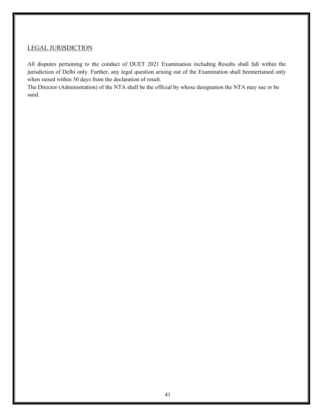## LEGAL JURISDICTION

All disputes pertaining to the conduct of DUET 2021 Examination including Results shall fall within the jurisdiction of Delhi only. Further, any legal question arising out of the Examination shall beentertained only when raised within 30 days from the declaration of result.

The Director (Administration) of the NTA shall be the official by whose designation the NTA may sue or be sued.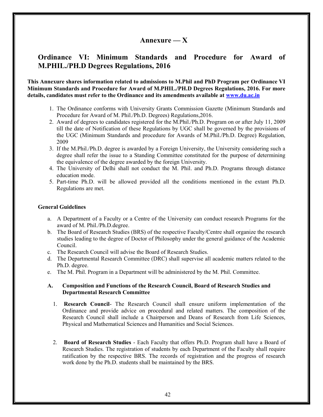## Annexure  $\bf -X$

## Ordinance VI: Minimum Standards and Procedure for Award of M.PHIL./PH.D Degrees Regulations, 2016

#### This Annexure shares information related to admissions to M.Phil and PhD Program per Ordinance VI Minimum Standards and Procedure for Award of M.PHIL./PH.D Degrees Regulations, 2016. For more details, candidates must refer to the Ordinance and its amendments available at www.du.ac.in

- 1. The Ordinance conforms with University Grants Commission Gazette (Minimum Standards and Procedure for Award of M. Phil./Ph.D. Degrees) Regulations,2016.
- 2. Award of degrees to candidates registered for the M.Phil./Ph.D. Program on or after July 11, 2009 till the date of Notification of these Regulations by UGC shall be governed by the provisions of the UGC (Minimum Standards and procedure for Awards of M.Phil./Ph.D. Degree) Regulation, 2009
- 3. If the M.Phil./Ph.D. degree is awarded by a Foreign University, the University considering such a degree shall refer the issue to a Standing Committee constituted for the purpose of determining the equivalence of the degree awarded by the foreign University.
- 4. The University of Delhi shall not conduct the M. Phil. and Ph.D. Programs through distance education mode.
- 5. Part-time Ph.D. will be allowed provided all the conditions mentioned in the extant Ph.D. Regulations are met.

#### General Guidelines

- a. A Department of a Faculty or a Centre of the University can conduct research Programs for the award of M. Phil./Ph.D.degree.
- b. The Board of Research Studies (BRS) of the respective Faculty/Centre shall organize the research studies leading to the degree of Doctor of Philosophy under the general guidance of the Academic Council.
- c. The Research Council will advise the Board of Research Studies.
- d. The Departmental Research Committee (DRC) shall supervise all academic matters related to the Ph.D. degree.
- e. The M. Phil. Program in a Department will be administered by the M. Phil. Committee.

#### A. Composition and Functions of the Research Council, Board of Research Studies and Departmental Research Committee

- 1. Research Council- The Research Council shall ensure uniform implementation of the Ordinance and provide advice on procedural and related matters. The composition of the Research Council shall include a Chairperson and Deans of Research from Life Sciences, Physical and Mathematical Sciences and Humanities and Social Sciences.
- 2. Board of Research Studies Each Faculty that offers Ph.D. Program shall have a Board of Research Studies. The registration of students by each Department of the Faculty shall require ratification by the respective BRS. The records of registration and the progress of research work done by the Ph.D. students shall be maintained by the BRS.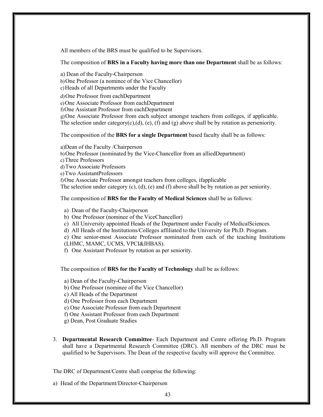All members of the BRS must be qualified to be Supervisors.

The composition of BRS in a Faculty having more than one Department shall be as follows:

a) Dean of the Faculty-Chairperson b)One Professor (a nominee of the Vice Chancellor) c)Heads of all Departments under the Faculty

d)One Professor from eachDepartment

e)One Associate Professor from eachDepartment

f)One Assistant Professor from eachDepartment

g)One Associate Professor from each subject amongst teachers from colleges, if applicable. The selection under category(c),(d), (e), (f) and (g) above shall be by rotation as perseniority.

The composition of the BRS for a single Department based faculty shall be as follows:

a)Dean of the Faculty /Chairperson b)One Professor (nominated by the Vice-Chancellor from an alliedDepartment) c)Three Professors d)Two Associate Professors e)Two AssistantProfessors f)One Associate Professor amongst teachers from colleges, ifapplicable The selection under category  $(c)$ ,  $(d)$ ,  $(e)$  and  $(f)$  above shall be by rotation as per seniority.

The composition of BRS for the Faculty of Medical Sciences shall be as follows:

a) Dean of the Faculty-Chairperson

b) One Professor (nominee of the ViceChancellor)

c) All University appointed Heads of the Department under Faculty of MedicalSciences.

d) All Heads of the Institutions/Colleges affiliated to the University for Ph.D. Program.

e) One senior-most Associate Professor nominated from each of the teaching Institutions

(LHMC, MAMC, UCMS, VPCI&IHBAS).

f) One Assistant Professor by rotation as per seniority.

The composition of BRS for the Faculty of Technology shall be as follows:

a) Dean of the Faculty-Chairperson

b) One Professor (nominee of the Vice Chancellor)

c) All Heads of the Department

d) One Professor from each Department

e) One Associate Professor from each Department

f) One Assistant Professor from each Department

g) Dean, Post Graduate Studies

3. Departmental Research Committee- Each Department and Centre offering Ph.D. Program shall have a Departmental Research Committee (DRC). All members of the DRC must be qualified to be Supervisors. The Dean of the respective faculty will approve the Committee.

The DRC of Department/Centre shall comprise the following:

a) Head of the Department/Director-Chairperson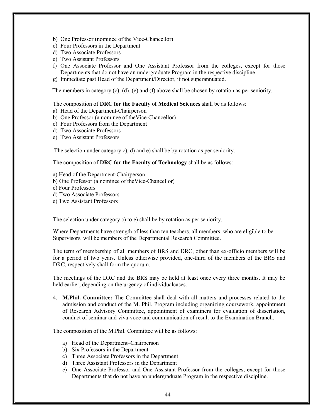- b) One Professor (nominee of the Vice-Chancellor)
- c) Four Professors in the Department
- d) Two Associate Professors
- e) Two Assistant Professors
- f) One Associate Professor and One Assistant Professor from the colleges, except for those Departments that do not have an undergraduate Program in the respective discipline.
- g) Immediate past Head of the Department/Director, if not superannuated.

The members in category (c), (d), (e) and (f) above shall be chosen by rotation as per seniority.

The composition of DRC for the Faculty of Medical Sciences shall be as follows:

- a) Head of the Department-Chairperson
- b) One Professor (a nominee of theVice-Chancellor)
- c) Four Professors from the Department
- d) Two Associate Professors
- e) Two Assistant Professors

The selection under category c), d) and e) shall be by rotation as per seniority.

The composition of DRC for the Faculty of Technology shall be as follows:

- a) Head of the Department-Chairperson
- b) One Professor (a nominee of theVice-Chancellor)
- c) Four Professors
- d) Two Associate Professors
- e) Two Assistant Professors

The selection under category c) to e) shall be by rotation as per seniority.

Where Departments have strength of less than ten teachers, all members, who are eligible to be Supervisors, will be members of the Departmental Research Committee.

The term of membership of all members of BRS and DRC, other than ex-officio members will be for a period of two years. Unless otherwise provided, one-third of the members of the BRS and DRC, respectively shall form the quorum.

The meetings of the DRC and the BRS may be held at least once every three months. It may be held earlier, depending on the urgency of individualcases.

4. M.Phil. Committee: The Committee shall deal with all matters and processes related to the admission and conduct of the M. Phil. Program including organizing coursework, appointment of Research Advisory Committee, appointment of examiners for evaluation of dissertation, conduct of seminar and viva-voce and communication of result to the Examination Branch.

The composition of the M.Phil. Committee will be as follows:

- a) Head of the Department–Chairperson
- b) Six Professors in the Department
- c) Three Associate Professors in the Department
- d) Three Assistant Professors in the Department
- e) One Associate Professor and One Assistant Professor from the colleges, except for those Departments that do not have an undergraduate Program in the respective discipline.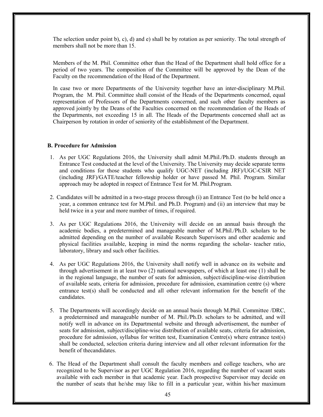The selection under point b), c), d) and e) shall be by rotation as per seniority. The total strength of members shall not be more than 15.

Members of the M. Phil. Committee other than the Head of the Department shall hold office for a period of two years. The composition of the Committee will be approved by the Dean of the Faculty on the recommendation of the Head of the Department.

In case two or more Departments of the University together have an inter-disciplinary M.Phil. Program, the M. Phil. Committee shall consist of the Heads of the Departments concerned, equal representation of Professors of the Departments concerned, and such other faculty members as approved jointly by the Deans of the Faculties concerned on the recommendation of the Heads of the Departments, not exceeding 15 in all. The Heads of the Departments concerned shall act as Chairperson by rotation in order of seniority of the establishment of the Department.

#### B. Procedure for Admission

- 1. As per UGC Regulations 2016, the University shall admit M.Phil./Ph.D. students through an Entrance Test conducted at the level of the University. The University may decide separate terms and conditions for those students who qualify UGC-NET (including JRF)/UGC-CSIR NET (including JRF)/GATE/teacher fellowship holder or have passed M. Phil. Program. Similar approach may be adopted in respect of Entrance Test for M. Phil.Program.
- 2. Candidates will be admitted in a two-stage process through (i) an Entrance Test (to be held once a year, a common entrance test for M.Phil. and Ph.D. Program) and (ii) an interview that may be held twice in a year and more number of times, if required.
- 3. As per UGC Regulations 2016, the University will decide on an annual basis through the academic bodies, a predetermined and manageable number of M.Phil./Ph.D. scholars to be admitted depending on the number of available Research Supervisors and other academic and physical facilities available, keeping in mind the norms regarding the scholar- teacher ratio, laboratory, library and such other facilities.
- 4. As per UGC Regulations 2016, the University shall notify well in advance on its website and through advertisement in at least two (2) national newspapers, of which at least one (1) shall be in the regional language, the number of seats for admission, subject/discipline-wise distribution of available seats, criteria for admission, procedure for admission, examination centre (s) where entrance test(s) shall be conducted and all other relevant information for the benefit of the candidates.
- 5. The Departments will accordingly decide on an annual basis through M.Phil. Committee /DRC, a predetermined and manageable number of M. Phil./Ph.D. scholars to be admitted, and will notify well in advance on its Departmental website and through advertisement, the number of seats for admission, subject/discipline-wise distribution of available seats, criteria for admission, procedure for admission, syllabus for written test, Examination Centre(s) where entrance test(s) shall be conducted, selection criteria during interview and all other relevant information for the benefit of thecandidates.
- 6. The Head of the Department shall consult the faculty members and college teachers, who are recognized to be Supervisor as per UGC Regulation 2016, regarding the number of vacant seats available with each member in that academic year. Each prospective Supervisor may decide on the number of seats that he/she may like to fill in a particular year, within his/her maximum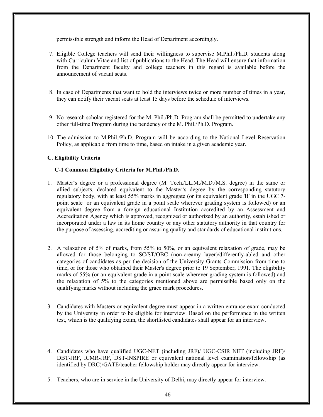permissible strength and inform the Head of Department accordingly.

- 7. Eligible College teachers will send their willingness to supervise M.Phil./Ph.D. students along with Curriculum Vitae and list of publications to the Head. The Head will ensure that information from the Department faculty and college teachers in this regard is available before the announcement of vacant seats.
- 8. In case of Departments that want to hold the interviews twice or more number of times in a year, they can notify their vacant seats at least 15 days before the schedule of interviews.
- 9. No research scholar registered for the M. Phil./Ph.D. Program shall be permitted to undertake any other full-time Program during the pendency of the M. Phil./Ph.D. Program.
- 10. The admission to M.Phil./Ph.D. Program will be according to the National Level Reservation Policy, as applicable from time to time, based on intake in a given academic year.

#### C. Eligibility Criteria

#### C-1 Common Eligibility Criteria for M.Phil./Ph.D.

- 1. Master's degree or a professional degree (M. Tech./LL.M./M.D./M.S. degree) in the same or allied subjects, declared equivalent to the Master's degree by the corresponding statutory regulatory body, with at least 55% marks in aggregate (or its equivalent grade 'B' in the UGC 7 point scale or an equivalent grade in a point scale wherever grading system is followed) or an equivalent degree from a foreign educational Institution accredited by an Assessment and Accreditation Agency which is approved, recognized or authorized by an authority, established or incorporated under a law in its home country or any other statutory authority in that country for the purpose of assessing, accrediting or assuring quality and standards of educational institutions.
- 2. A relaxation of 5% of marks, from 55% to 50%, or an equivalent relaxation of grade, may be allowed for those belonging to SC/ST/OBC (non-creamy layer)/differently-abled and other categories of candidates as per the decision of the University Grants Commission from time to time, or for those who obtained their Master's degree prior to 19 September, 1991. The eligibility marks of 55% (or an equivalent grade in a point scale wherever grading system is followed) and the relaxation of 5% to the categories mentioned above are permissible based only on the qualifying marks without including the grace mark procedures.
- 3. Candidates with Masters or equivalent degree must appear in a written entrance exam conducted by the University in order to be eligible for interview. Based on the performance in the written test, which is the qualifying exam, the shortlisted candidates shall appear for an interview.
- 4. Candidates who have qualified UGC-NET (including JRF)/ UGC-CSIR NET (including JRF)/ DBT-JRF, ICMR-JRF, DST-INSPIRE or equivalent national level examination/fellowship (as identified by DRC)/GATE/teacher fellowship holder may directly appear for interview.
- 5. Teachers, who are in service in the University of Delhi, may directly appear for interview.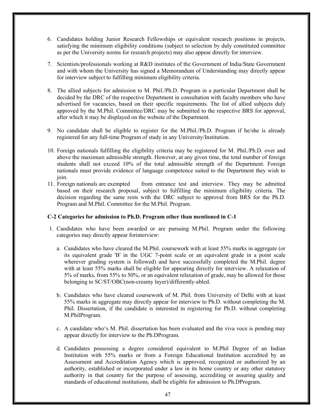- 6. Candidates holding Junior Research Fellowships or equivalent research positions in projects, satisfying the minimum eligibility conditions (subject to selection by duly constituted committee as per the University norms for research projects) may also appear directly for interview.
- 7. Scientists/professionals working at R&D institutes of the Government of India/State Government and with whom the University has signed a Memorandum of Understanding may directly appear for interview subject to fulfilling minimum eligibility criteria.
- 8. The allied subjects for admission to M. Phil./Ph.D. Program in a particular Department shall be decided by the DRC of the respective Department in consultation with faculty members who have advertised for vacancies, based on their specific requirements. The list of allied subjects duly approved by the M.Phil. Committee/DRC may be submitted to the respective BRS for approval, after which it may be displayed on the website of the Department.
- 9. No candidate shall be eligible to register for the M.Phil./Ph.D. Program if he/she is already registered for any full-time Program of study in any University/Institution.
- 10. Foreign nationals fulfilling the eligibility criteria may be registered for M. Phil./Ph.D. over and above the maximum admissible strength. However, at any given time, the total number of foreign students shall not exceed 10% of the total admissible strength of the Department. Foreign nationals must provide evidence of language competence suited to the Department they wish to join.
- 11. Foreign nationals are exempted from entrance test and interview. They may be admitted based on their research proposal, subject to fulfilling the minimum eligibility criteria. The decision regarding the same rests with the DRC subject to approval from BRS for the Ph.D. Program and M.Phil. Committee for the M.Phil. Program.

#### C-2 Categories for admission to Ph.D. Program other than mentioned in C-1

- 1. Candidates who have been awarded or are pursuing M.Phil. Program under the following categories may directly appear forinterview:
	- a. Candidates who have cleared the M.Phil. coursework with at least 55% marks in aggregate (or its equivalent grade 'B' in the UGC 7-point scale or an equivalent grade in a point scale wherever grading system is followed) and have successfully completed the M.Phil. degree with at least 55% marks shall be eligible for appearing directly for interview. A relaxation of 5% of marks, from 55% to 50%, or an equivalent relaxation of grade, may be allowed for those belonging to SC/ST/OBC(non-creamy layer)/differently-abled.
	- b. Candidates who have cleared coursework of M. Phil. from University of Delhi with at least 55% marks in aggregate may directly appear for interview to Ph.D. without completing the M. Phil. Dissertation, if the candidate is interested in registering for Ph.D. without completing M.PhilProgram.
	- c. A candidate who's M. Phil. dissertation has been evaluated and the viva voce is pending may appear directly for interview to the Ph.DProgram.
	- d. Candidates possessing a degree considered equivalent to M.Phil Degree of an Indian Institution with 55% marks or from a Foreign Educational Institution accredited by an Assessment and Accreditation Agency which is approved, recognized or authorized by an authority, established or incorporated under a law in its home country or any other statutory authority in that country for the purpose of assessing, accrediting or assuring quality and standards of educational institutions, shall be eligible for admission to Ph.DProgram.